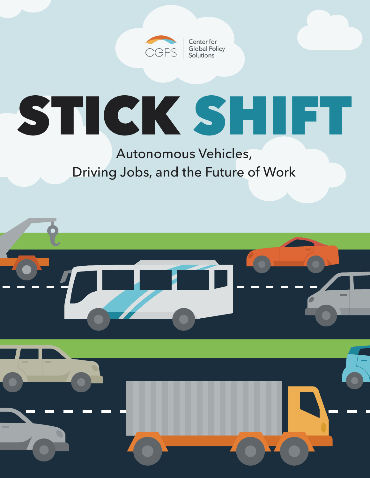

Center for **Global Policy** Solutions

# STICK SHIFT

Autonomous Vehicles, Driving Jobs, and the Future of Work

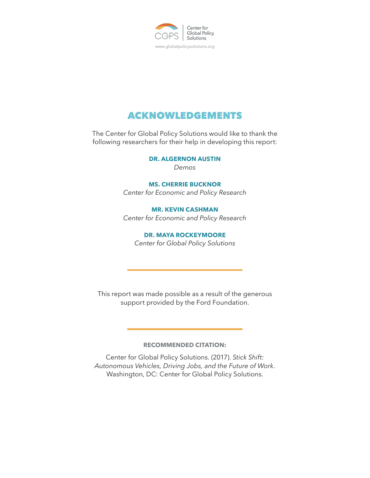

# ACKNOWLEDGEMENTS

The Center for Global Policy Solutions would like to thank the following researchers for their help in developing this report:

> **DR. ALGERNON AUSTIN** *Demos*

**MS. CHERRIE BUCKNOR** *Center for Economic and Policy Research*

**MR. KEVIN CASHMAN** *Center for Economic and Policy Research*

**DR. MAYA ROCKEYMOORE** *Center for Global Policy Solutions*

This report was made possible as a result of the generous support provided by the Ford Foundation.

## **RECOMMENDED CITATION:**

Center for Global Policy Solutions. (2017). *Stick Shift: Autonomous Vehicles, Driving Jobs, and the Future of Work*. Washington, DC: Center for Global Policy Solutions.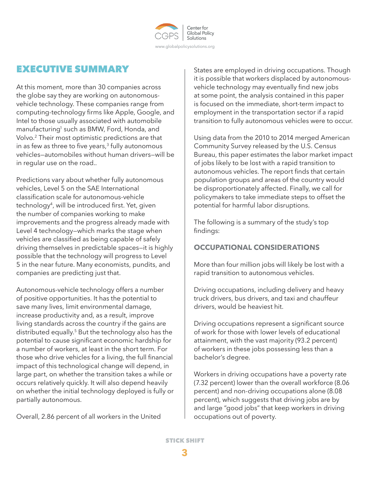

# EXECUTIVE SUMMARY

At this moment, more than 30 companies across the globe say they are working on autonomousvehicle technology. These companies range from computing-technology firms like Apple, Google, and Intel to those usually associated with automobile manufacturing<sup>1</sup> such as BMW, Ford, Honda, and Volvo.2 Their most optimistic predictions are that in as few as three to five years, $3$  fully autonomous vehicles—automobiles without human drivers—will be in regular use on the road..

Predictions vary about whether fully autonomous vehicles, Level 5 on the SAE International classification scale for autonomous-vehicle technology4, will be introduced first. Yet, given the number of companies working to make improvements and the progress already made with Level 4 technology—which marks the stage when vehicles are classified as being capable of safely driving themselves in predictable spaces—it is highly possible that the technology will progress to Level 5 in the near future. Many economists, pundits, and companies are predicting just that.

Autonomous-vehicle technology offers a number of positive opportunities. It has the potential to save many lives, limit environmental damage, increase productivity and, as a result, improve living standards across the country if the gains are distributed equally.5 But the technology also has the potential to cause significant economic hardship for a number of workers, at least in the short term. For those who drive vehicles for a living, the full financial impact of this technological change will depend, in large part, on whether the transition takes a while or occurs relatively quickly. It will also depend heavily on whether the initial technology deployed is fully or partially autonomous.

Overall, 2.86 percent of all workers in the United

States are employed in driving occupations. Though it is possible that workers displaced by autonomousvehicle technology may eventually find new jobs at some point, the analysis contained in this paper is focused on the immediate, short-term impact to employment in the transportation sector if a rapid transition to fully autonomous vehicles were to occur.

Using data from the 2010 to 2014 merged American Community Survey released by the U.S. Census Bureau, this paper estimates the labor market impact of jobs likely to be lost with a rapid transition to autonomous vehicles. The report finds that certain population groups and areas of the country would be disproportionately affected. Finally, we call for policymakers to take immediate steps to offset the potential for harmful labor disruptions.

The following is a summary of the study's top findings:

# **OCCUPATIONAL CONSIDERATIONS**

More than four million jobs will likely be lost with a rapid transition to autonomous vehicles.

Driving occupations, including delivery and heavy truck drivers, bus drivers, and taxi and chauffeur drivers, would be heaviest hit.

Driving occupations represent a significant source of work for those with lower levels of educational attainment, with the vast majority (93.2 percent) of workers in these jobs possessing less than a bachelor's degree.

Workers in driving occupations have a poverty rate (7.32 percent) lower than the overall workforce (8.06 percent) and non-driving occupations alone (8.08 percent), which suggests that driving jobs are by and large "good jobs" that keep workers in driving occupations out of poverty.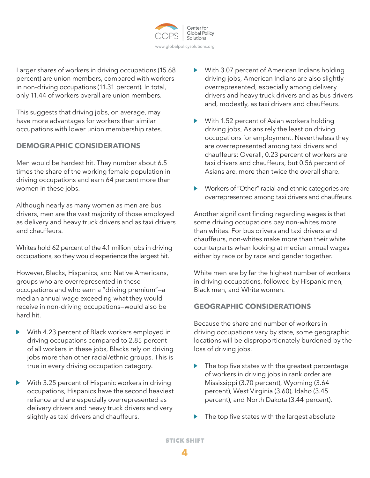

Larger shares of workers in driving occupations (15.68 percent) are union members, compared with workers in non-driving occupations (11.31 percent). In total, only 11.44 of workers overall are union members.

This suggests that driving jobs, on average, may have more advantages for workers than similar occupations with lower union membership rates.

# **DEMOGRAPHIC CONSIDERATIONS**

Men would be hardest hit. They number about 6.5 times the share of the working female population in driving occupations and earn 64 percent more than women in these jobs.

Although nearly as many women as men are bus drivers, men are the vast majority of those employed as delivery and heavy truck drivers and as taxi drivers and chauffeurs.

Whites hold 62 percent of the 4.1 million jobs in driving occupations, so they would experience the largest hit.

However, Blacks, Hispanics, and Native Americans, groups who are overrepresented in these occupations and who earn a "driving premium"—a median annual wage exceeding what they would receive in non-driving occupations—would also be hard hit.

- $\blacktriangleright$ With 4.23 percent of Black workers employed in driving occupations compared to 2.85 percent of all workers in these jobs, Blacks rely on driving jobs more than other racial/ethnic groups. This is true in every driving occupation category.
- With 3.25 percent of Hispanic workers in driving ▶ occupations, Hispanics have the second heaviest reliance and are especially overrepresented as delivery drivers and heavy truck drivers and very slightly as taxi drivers and chauffeurs.
- With 3.07 percent of American Indians holding driving jobs, American Indians are also slightly overrepresented, especially among delivery drivers and heavy truck drivers and as bus drivers and, modestly, as taxi drivers and chauffeurs.
- With 1.52 percent of Asian workers holding driving jobs, Asians rely the least on driving occupations for employment. Nevertheless they are overrepresented among taxi drivers and chauffeurs: Overall, 0.23 percent of workers are taxi drivers and chauffeurs, but 0.56 percent of Asians are, more than twice the overall share.
- $\blacktriangleright$ Workers of "Other" racial and ethnic categories are overrepresented among taxi drivers and chauffeurs.

Another significant finding regarding wages is that some driving occupations pay non-whites more than whites. For bus drivers and taxi drivers and chauffeurs, non-whites make more than their white counterparts when looking at median annual wages either by race or by race and gender together.

White men are by far the highest number of workers in driving occupations, followed by Hispanic men, Black men, and White women.

## **GEOGRAPHIC CONSIDERATIONS**

Because the share and number of workers in driving occupations vary by state, some geographic locations will be disproportionately burdened by the loss of driving jobs.

- $\blacktriangleright$  The top five states with the greatest percentage of workers in driving jobs in rank order are Mississippi (3.70 percent), Wyoming (3.64 percent), West Virginia (3.60), Idaho (3.45 percent), and North Dakota (3.44 percent).
- The top five states with the largest absolute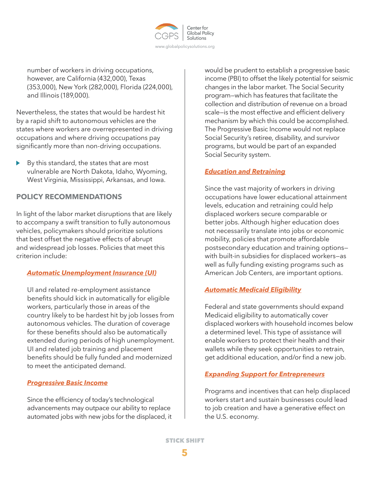

number of workers in driving occupations, however, are California (432,000), Texas (353,000), New York (282,000), Florida (224,000), and Illinois (189,000).

Nevertheless, the states that would be hardest hit by a rapid shift to autonomous vehicles are the states where workers are overrepresented in driving occupations and where driving occupations pay significantly more than non-driving occupations.

By this standard, the states that are most vulnerable are North Dakota, Idaho, Wyoming, West Virginia, Mississippi, Arkansas, and Iowa.

## **POLICY RECOMMENDATIONS**

In light of the labor market disruptions that are likely to accompany a swift transition to fully autonomous vehicles, policymakers should prioritize solutions that best offset the negative effects of abrupt and widespread job losses. Policies that meet this criterion include:

## *Automatic Unemployment Insurance (UI)*

UI and related re-employment assistance benefits should kick in automatically for eligible workers, particularly those in areas of the country likely to be hardest hit by job losses from autonomous vehicles. The duration of coverage for these benefits should also be automatically extended during periods of high unemployment. UI and related job training and placement benefits should be fully funded and modernized to meet the anticipated demand.

## *Progressive Basic Income*

Since the efficiency of today's technological advancements may outpace our ability to replace automated jobs with new jobs for the displaced, it would be prudent to establish a progressive basic income (PBI) to offset the likely potential for seismic changes in the labor market. The Social Security program—which has features that facilitate the collection and distribution of revenue on a broad scale—is the most effective and efficient delivery mechanism by which this could be accomplished. The Progressive Basic Income would not replace Social Security's retiree, disability, and survivor programs, but would be part of an expanded Social Security system.

## *Education and Retraining*

Since the vast majority of workers in driving occupations have lower educational attainment levels, education and retraining could help displaced workers secure comparable or better jobs. Although higher education does not necessarily translate into jobs or economic mobility, policies that promote affordable postsecondary education and training options with built-in subsidies for displaced workers—as well as fully funding existing programs such as American Job Centers, are important options.

## *Automatic Medicaid Eligibility*

Federal and state governments should expand Medicaid eligibility to automatically cover displaced workers with household incomes below a determined level. This type of assistance will enable workers to protect their health and their wallets while they seek opportunities to retrain, get additional education, and/or find a new job.

## *Expanding Support for Entrepreneurs*

Programs and incentives that can help displaced workers start and sustain businesses could lead to job creation and have a generative effect on the U.S. economy.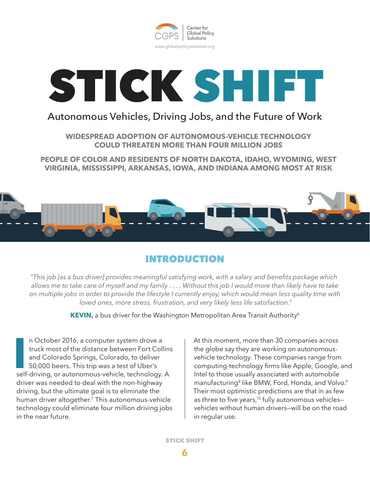



# Autonomous Vehicles, Driving Jobs, and the Future of Work

**WIDESPREAD ADOPTION OF AUTONOMOUS-VEHICLE TECHNOLOGY COULD THREATEN MORE THAN FOUR MILLION JOBS**

**PEOPLE OF COLOR AND RESIDENTS OF NORTH DAKOTA, IDAHO, WYOMING, WEST VIRGINIA, MISSISSIPPI, ARKANSAS, IOWA, AND INDIANA AMONG MOST AT RISK**



# INTRODUCTION

*"This job [as a bus driver] provides meaningful satisfying work, with a salary and benefits package which allows me to take care of myself and my family . . . . Without this job I would more than likely have to take on multiple jobs in order to provide the lifestyle I currently enjoy, which would mean less quality time with loved ones, more stress, frustration, and very likely less life satisfaction."*

**KEVIN,** a bus driver for the Washington Metropolitan Area Transit Authority<sup>6</sup>

II n October 2016, a computer system drove a<br>
truck most of the distance between Fort Collin:<br>
and Colorado Springs, Colorado, to deliver<br>
50,000 beers. This trip was a test of Uber's<br>
self-driving, or autonomous-vehicle, n October 2016, a computer system drove a truck most of the distance between Fort Collins and Colorado Springs, Colorado, to deliver 50,000 beers. This trip was a test of Uber's driver was needed to deal with the non-highway driving, but the ultimate goal is to eliminate the human driver altogether.<sup>7</sup> This autonomous-vehicle technology could eliminate four million driving jobs in the near future.

At this moment, more than 30 companies across the globe say they are working on autonomousvehicle technology. These companies range from computing-technology firms like Apple, Google, and Intel to those usually associated with automobile manufacturing<sup>8</sup> like BMW, Ford, Honda, and Volvo.<sup>9</sup> Their most optimistic predictions are that in as few as three to five years,<sup>10</sup> fully autonomous vehiclesvehicles without human drivers—will be on the road in regular use.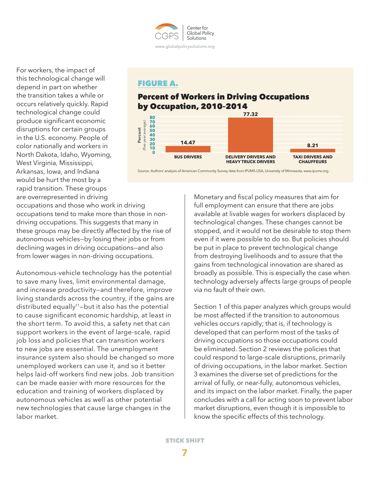

For workers, the impact of this technological change will depend in part on whether the transition takes a while or occurs relatively quickly. Rapid technological change could produce significant economic disruptions for certain groups in the U.S. economy. People of color nationally and workers in North Dakota, Idaho, Wyoming, West Virginia, Mississippi, Arkansas, Iowa, and Indiana would be hurt the most by a rapid transition. These groups are overrepresented in driving

## FIGURE A.

# Percent of Workers in Driving Occupations by Occupation, 2010–2014



Source: Authors' analysis of American Community Survey data from IPUMS-USA, University of Minnesota, www.ipums.org.

occupations and those who work in driving occupations tend to make more than those in nondriving occupations. This suggests that many in these groups may be directly affected by the rise of autonomous vehicles—by losing their jobs or from declining wages in driving occupations—and also from lower wages in non-driving occupations.

Autonomous-vehicle technology has the potential to save many lives, limit environmental damage, and increase productivity—and therefore, improve living standards across the country, if the gains are distributed equally<sup>11</sup>-but it also has the potential to cause significant economic hardship, at least in the short term. To avoid this, a safety net that can support workers in the event of large-scale, rapid job loss and policies that can transition workers to new jobs are essential. The unemployment insurance system also should be changed so more unemployed workers can use it, and so it better helps laid-off workers find new jobs. Job transition can be made easier with more resources for the education and training of workers displaced by autonomous vehicles as well as other potential new technologies that cause large changes in the labor market.

Monetary and fiscal policy measures that aim for full employment can ensure that there are jobs available at livable wages for workers displaced by technological changes. These changes cannot be stopped, and it would not be desirable to stop them even if it were possible to do so. But policies should be put in place to prevent technological change from destroying livelihoods and to assure that the gains from technological innovation are shared as broadly as possible. This is especially the case when technology adversely affects large groups of people via no fault of their own.

Section 1 of this paper analyzes which groups would be most affected if the transition to autonomous vehicles occurs rapidly; that is, if technology is developed that can perform most of the tasks of driving occupations so those occupations could be eliminated. Section 2 reviews the policies that could respond to large-scale disruptions, primarily of driving occupations, in the labor market. Section 3 examines the diverse set of predictions for the arrival of fully, or near-fully, autonomous vehicles, and its impact on the labor market. Finally, the paper concludes with a call for acting soon to prevent labor market disruptions, even though it is impossible to know the specific effects of this technology.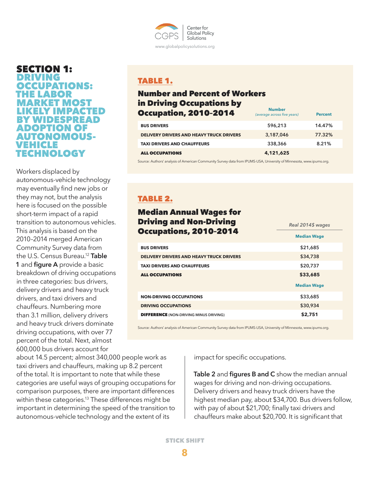

SECTION 1: DRIVING OCCUPATIONS: THE LABOR ARKET MOST KELY IMPACTED BY WIDESPREAD **DOPTION OF** AUTONOMOUS-VEHICLE TECHNOLOGY

Workers displaced by autonomous-vehicle technology may eventually find new jobs or they may not, but the analysis here is focused on the possible short-term impact of a rapid transition to autonomous vehicles. This analysis is based on the 2010–2014 merged American Community Survey data from the U.S. Census Bureau.12 **Table 1** and **figure A** provide a basic breakdown of driving occupations in three categories: bus drivers, delivery drivers and heavy truck drivers, and taxi drivers and chauffeurs. Numbering more than 3.1 million, delivery drivers and heavy truck drivers dominate driving occupations, with over 77 percent of the total. Next, almost 600,000 bus drivers account for

about 14.5 percent; almost 340,000 people work as taxi drivers and chauffeurs, making up 8.2 percent of the total. It is important to note that while these categories are useful ways of grouping occupations for comparison purposes, there are important differences within these categories.<sup>13</sup> These differences might be important in determining the speed of the transition to autonomous-vehicle technology and the extent of its

## TABLE 1.

## Number and Percent of Workers in Driving Occupations by **Occupation, 2010-2014**

| Uttupalion, ZV IV-ZV I 4                        | (average across five years) | <b>Percent</b> |
|-------------------------------------------------|-----------------------------|----------------|
| <b>BUS DRIVERS</b>                              | 596,213                     | 14.47%         |
| <b>DELIVERY DRIVERS AND HEAVY TRUCK DRIVERS</b> | 3,187,046                   | 77.32%         |
| <b>TAXI DRIVERS AND CHAUFFEURS</b>              | 338,366                     | 8.21%          |
| <b>ALL OCCUPATIONS</b>                          | 4,121,625                   |                |

Source: Authors' analysis of American Community Survey data from IPUMS-USA, University of Minnesota, www.ipums.org.

# TABLE 2.

# Median Annual Wages for Driving and Non-Driving **Occupations, 2010-2014**

|                                                 | <b>Median Wage</b> |
|-------------------------------------------------|--------------------|
| <b>BUS DRIVERS</b>                              | \$21,685           |
| <b>DELIVERY DRIVERS AND HEAVY TRUCK DRIVERS</b> | \$34,738           |
| <b>TAXI DRIVERS AND CHAUFFEURS</b>              | \$20,737           |
| <b>ALL OCCUPATIONS</b>                          | \$33,685           |
|                                                 |                    |
|                                                 | <b>Median Wage</b> |
| <b>NON-DRIVING OCCUPATIONS</b>                  | \$33,685           |
| <b>DRIVING OCCUPATIONS</b>                      | \$30,934           |
| <b>DIFFERENCE (NON-DRIVING MINUS DRIVING)</b>   | \$2,751            |

Source: Authors' analysis of American Community Survey data from IPUMS-USA, University of Minnesota, www.ipums.org.

impact for specific occupations.

**Table 2** and **figures B and C** show the median annual wages for driving and non-driving occupations. Delivery drivers and heavy truck drivers have the highest median pay, about \$34,700. Bus drivers follow, with pay of about \$21,700; finally taxi drivers and chauffeurs make about \$20,700. It is significant that

*Real 2014\$ wages*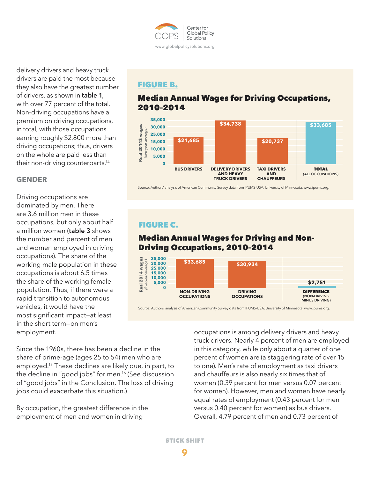

delivery drivers and heavy truck drivers are paid the most because they also have the greatest number of drivers, as shown in **table 1**, with over 77 percent of the total. Non-driving occupations have a premium on driving occupations, in total, with those occupations earning roughly \$2,800 more than driving occupations; thus, drivers on the whole are paid less than their non-driving counterparts.14

## **GENDER**

Driving occupations are dominated by men. There are 3.6 million men in these occupations, but only about half a million women (**table 3** shows the number and percent of men and women employed in driving occupations). The share of the working male population in these occupations is about 6.5 times the share of the working female population. Thus, if there were a rapid transition to autonomous vehicles, it would have the most significant impact—at least in the short term—on men's employment.

Since the 1960s, there has been a decline in the share of prime-age (ages 25 to 54) men who are employed.15 These declines are likely due, in part, to the decline in "good jobs" for men.16 (See discussion of "good jobs" in the Conclusion. The loss of driving jobs could exacerbate this situation.)

By occupation, the greatest difference in the employment of men and women in driving

FIGURE B.

# Median Annual Wages for Driving Occupations, 2010–2014



Source: Authors' analysis of American Community Survey data from IPUMS-USA, University of Minnesota, www.ipums.org.

# FIGURE C.

# Median Annual Wages for Driving and Non-Driving Occupations, 2010–2014



Source: Authors' analysis of American Community Survey data from IPUMS-USA, University of Minnesota, www.ipums.org.

occupations is among delivery drivers and heavy truck drivers. Nearly 4 percent of men are employed in this category, while only about a quarter of one percent of women are (a staggering rate of over 15 to one). Men's rate of employment as taxi drivers and chauffeurs is also nearly six times that of women (0.39 percent for men versus 0.07 percent for women). However, men and women have nearly equal rates of employment (0.43 percent for men versus 0.40 percent for women) as bus drivers. Overall, 4.79 percent of men and 0.73 percent of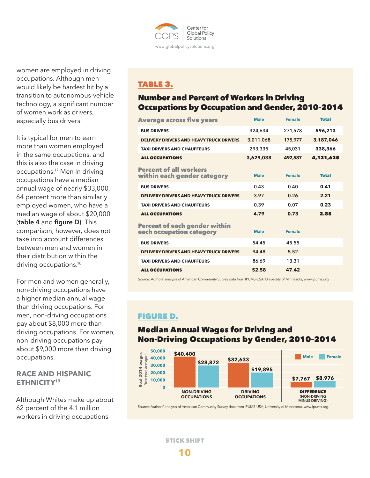

women are employed in driving occupations. Although men would likely be hardest hit by a transition to autonomous-vehicle technology, a significant number of women work as drivers, especially bus drivers.

It is typical for men to earn more than women employed in the same occupations, and this is also the case in driving occupations.17 Men in driving occupations have a median annual wage of nearly \$33,000, 64 percent more than similarly employed women, who have a median wage of about \$20,000 (**table 4** and **figure D)**. This comparison, however, does not take into account differences between men and women in their distribution within the driving occupations.<sup>18</sup>

For men and women generally, non-driving occupations have a higher median annual wage than driving occupations. For men, non-driving occupations pay about \$8,000 more than driving occupations. For women, non-driving occupations pay about \$9,000 more than driving occupations.

## **RACE AND HISPANIC ETHNICITY19**

Although Whites make up about 62 percent of the 4.1 million workers in driving occupations

# TABLE 3.

# Number and Percent of Workers in Driving Occupations by Occupation and Gender, 2010–2014

| <b>Average across five years</b>                                 | <b>Male</b> | <b>Female</b> | <b>Total</b> |
|------------------------------------------------------------------|-------------|---------------|--------------|
| <b>BUS DRIVERS</b>                                               | 324,634     | 271,578       | 596,213      |
| <b>DELIVERY DRIVERS AND HEAVY TRUCK DRIVERS</b>                  | 3,011,068   | 175,977       | 3.187.046    |
| <b>TAXI DRIVERS AND CHAUFFEURS</b>                               | 293,335     | 45,031        | 338,366      |
| <b>ALL OCCUPATIONS</b>                                           | 3,629,038   | 492,587       | 4,121,625    |
| <b>Percent of all workers</b><br>within each gender category     | <b>Male</b> | <b>Female</b> | <b>Total</b> |
| <b>BUS DRIVERS</b>                                               | 0.43        | 0.40          | 0.41         |
| <b>DELIVERY DRIVERS AND HEAVY TRUCK DRIVERS</b>                  | 3.97        | 0.26          | 2.21         |
| <b>TAXI DRIVERS AND CHAUFFEURS</b>                               | 0.39        | 0.07          | 0.23         |
| <b>ALL OCCUPATIONS</b>                                           | 4.79        | 0.73          | 2.85         |
| <b>Percent of each gender within</b><br>each occupation category | <b>Male</b> | <b>Female</b> |              |
| <b>BUS DRIVERS</b>                                               | 54.45       | 45.55         |              |
| <b>DELIVERY DRIVERS AND HEAVY TRUCK DRIVERS</b>                  | 94.48       | 5.52          |              |
| <b>TAXI DRIVERS AND CHAUFFEURS</b>                               | 86.69       | 13.31         |              |
| <b>ALL OCCUPATIONS</b>                                           | 52.58       | 47.42         |              |

Source: Authors' analysis of American Community Survey data from IPUMS-USA, University of Minnesota, www.ipums.org.

# FIGURE D.

## Median Annual Wages for Driving and Non-Driving Occupations by Gender, 2010–2014



Source: Authors' analysis of American Community Survey data from IPUMS-USA, University of Minnesota, www.ipums.org.

STICK SHIFT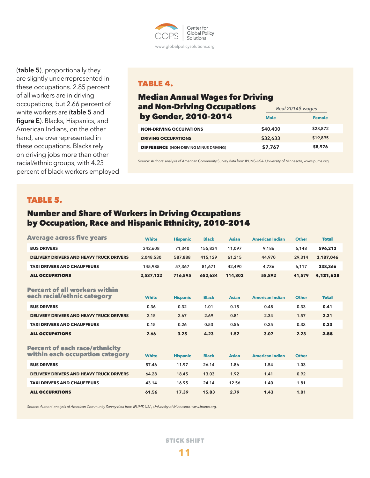

(**table 5**), proportionally they are slightly underrepresented in these occupations. 2.85 percent of all workers are in driving occupations, but 2.66 percent of white workers are (**table 5** and **figure E**). Blacks, Hispanics, and American Indians, on the other hand, are overrepresented in these occupations. Blacks rely on driving jobs more than other racial/ethnic groups, with 4.23 percent of black workers employed

# TABLE 4.

#### Median Annual Wages for Driving and Non-Driving Occupations by Gender, 2010–2014 **Male Female** *Real 2014\$ wages*

| <b>MY ARIMEN EA IA.EA IA</b>                  | <b>Male</b> | <b>Female</b> |
|-----------------------------------------------|-------------|---------------|
| <b>NON-DRIVING OCCUPATIONS</b>                | \$40,400    | \$28,872      |
| <b>DRIVING OCCUPATIONS</b>                    | \$32,633    | \$19,895      |
| <b>DIFFERENCE</b> (NON-DRIVING MINUS DRIVING) | \$7,767     | \$8,976       |

Source: Authors' analysis of American Community Survey data from IPUMS-USA, University of Minnesota, www.ipums.org.

## TABLE 5.

# Number and Share of Workers in Driving Occupations by Occupation, Race and Hispanic Ethnicity, 2010–2014

| <b>Average across five years</b>                                         | <b>White</b> | <b>Hispanic</b> | <b>Black</b> | <b>Asian</b> | <b>American Indian</b> | <b>Other</b> | <b>Total</b> |
|--------------------------------------------------------------------------|--------------|-----------------|--------------|--------------|------------------------|--------------|--------------|
| <b>BUS DRIVERS</b>                                                       | 342,608      | 71,340          | 155,834      | 11,097       | 9,186                  | 6,148        | 596,213      |
| <b>DELIVERY DRIVERS AND HEAVY TRUCK DRIVERS</b>                          | 2,048,530    | 587,888         | 415,129      | 61,215       | 44,970                 | 29,314       | 3,187,046    |
| <b>TAXI DRIVERS AND CHAUFFEURS</b>                                       | 145,985      | 57,367          | 81,671       | 42,490       | 4,736                  | 6,117        | 338,366      |
| <b>ALL OCCUPATIONS</b>                                                   | 2,537,122    | 716,595         | 652,634      | 114,802      | 58,892                 | 41,579       | 4,121,625    |
| <b>Percent of all workers within</b><br>each racial/ethnic category      | <b>White</b> | <b>Hispanic</b> | <b>Black</b> | <b>Asian</b> | <b>American Indian</b> | <b>Other</b> | <b>Total</b> |
| <b>BUS DRIVERS</b>                                                       | 0.36         | 0.32            | 1.01         | 0.15         | 0.48                   | 0.33         | 0.41         |
| <b>DELIVERY DRIVERS AND HEAVY TRUCK DRIVERS</b>                          | 2.15         | 2.67            | 2.69         | 0.81         | 2.34                   | 1.57         | 2.21         |
| <b>TAXI DRIVERS AND CHAUFFEURS</b>                                       | 0.15         | 0.26            | 0.53         | 0.56         | 0.25                   | 0.33         | 0.23         |
| <b>ALL OCCUPATIONS</b>                                                   | 2.66         | 3.25            | 4.23         | 1.52         | 3.07                   | 2.23         | 2.85         |
| <b>Percent of each race/ethnicity</b><br>within each occupation category | <b>White</b> | <b>Hispanic</b> | <b>Black</b> | <b>Asian</b> | <b>American Indian</b> | <b>Other</b> |              |
| <b>BUS DRIVERS</b>                                                       | 57.46        | 11.97           | 26.14        | 1.86         | 1.54                   | 1.03         |              |
| <b>DELIVERY DRIVERS AND HEAVY TRUCK DRIVERS</b>                          | 64.28        | 18.45           | 13.03        | 1.92         | 1.41                   | 0.92         |              |
| <b>TAXI DRIVERS AND CHAUFFEURS</b>                                       | 43.14        | 16.95           | 24.14        | 12.56        | 1.40                   | 1.81         |              |
| <b>ALL OCCUPATIONS</b>                                                   | 61.56        | 17.39           | 15.83        | 2.79         | 1.43                   | 1.01         |              |

*Source: Authors' analysis of American Community Survey data from IPUMS-USA, University of Minnesota, www.ipums.org.*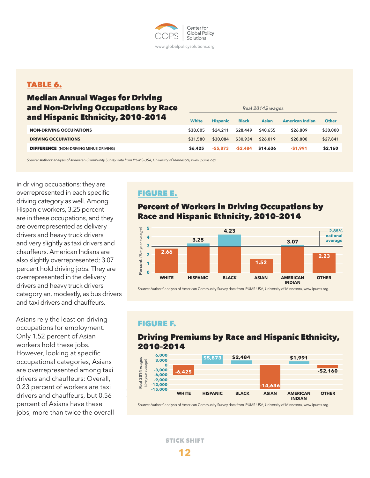

## TABLE 6.

# Median Annual Wages for Driving and Non-Driving Occupations by Race and Hispanic Ethnicity, 2010–2014

| and Hispanic Ethnicity, 2010-2014             | White    | <b>Hispanic</b> | <b>Black</b> | <b>Asian</b> | <b>American Indian</b> | <b>Other</b> |
|-----------------------------------------------|----------|-----------------|--------------|--------------|------------------------|--------------|
| <b>NON-DRIVING OCCUPATIONS</b>                | \$38,005 | \$24,211        | \$28,449     | \$40.655     | \$26,809               | \$30,000     |
| <b>DRIVING OCCUPATIONS</b>                    | \$31,580 | \$30.084        | \$30,934     | \$26,019     | \$28,800               | \$27,841     |
| <b>DIFFERENCE</b> (NON-DRIVING MINUS DRIVING) | \$6,425  | -\$5,873        | -\$2,484     | \$14,636     | $-51.991$              | \$2,160      |

*Source: Authors' analysis of American Community Survey data from IPUMS-USA, University of Minnesota, www.ipums.org.*

in driving occupations; they are overrepresented in each specific driving category as well. Among Hispanic workers, 3.25 percent are in these occupations, and they are overrepresented as delivery drivers and heavy truck drivers and very slightly as taxi drivers and chauffeurs. American Indians are also slightly overrepresented; 3.07 percent hold driving jobs. They are overrepresented in the delivery drivers and heavy truck drivers category an, modestly, as bus drivers and taxi drivers and chauffeurs.

Asians rely the least on driving occupations for employment. Only 1.52 percent of Asian workers hold these jobs. However, looking at specific occupational categories, Asians are overrepresented among taxi drivers and chauffeurs: Overall, 0.23 percent of workers are taxi drivers and chauffeurs, but 0.56 percent of Asians have these jobs, more than twice the overall

# FIGURE E.

# Percent of Workers in Driving Occupations by Race and Hispanic Ethnicity, 2010–2014

*Real 2014\$ wages*



Source: Authors' analysis of American Community Survey data from IPUMS-USA, University of Minnesota, www.ipums.org.

## FIGURE F.

# Driving Premiums by Race and Hispanic Ethnicity, 2010–2014



Source: Authors' analysis of American Community Survey data from IPUMS-USA, University of Minnesota, www.ipums.org.

STICK SHIFT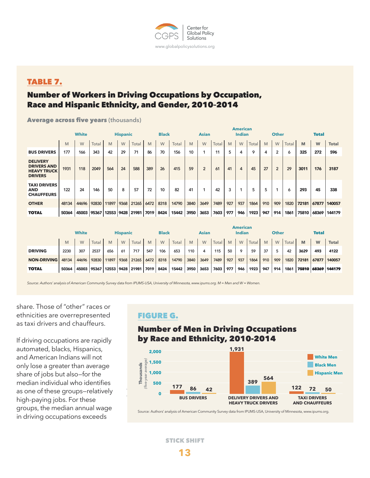

# TABLE 7.

# Number of Workers in Driving Occupations by Occupation, Race and Hispanic Ethnicity, and Gender, 2010–2014

Average across five years **(thousands)**

|                                                                               | <b>White</b><br><b>Hispanic</b> |       |       |       |      | <b>Black</b>                      |      |      |            | <b>Asian</b> | <b>American</b><br><b>Indian</b> |       |     |     |       | <b>Other</b> |                |       | <b>Total</b> |       |              |
|-------------------------------------------------------------------------------|---------------------------------|-------|-------|-------|------|-----------------------------------|------|------|------------|--------------|----------------------------------|-------|-----|-----|-------|--------------|----------------|-------|--------------|-------|--------------|
|                                                                               | M                               | W     | Total | M     | W    | Total                             | M    | W    | Total      | M            | W                                | Total | M   | W   | Total | M            | W              | Total | M            | W     | <b>Total</b> |
| <b>BUS DRIVERS</b>                                                            | 177                             | 166   | 343   | 42    | 29   | 71                                | 86   | 70   | 156        | 10           |                                  | 11    | 5   | 4   | 9     | 4            | $\overline{2}$ | 6     | 325          | 272   | 596          |
| <b>DELIVERY</b><br><b>DRIVERS AND</b><br><b>HEAVY TRUCK</b><br><b>DRIVERS</b> | 1931                            | 118   | 2049  | 564   | 24   | 588                               | 389  | 26   | 415        | 59           | $\overline{2}$                   | 61    | 41  | 4   | 45    | 27           | $\overline{2}$ | 29    | 3011         | 176   | 3187         |
| <b>TAXI DRIVERS</b><br><b>AND</b><br><b>CHAUFFEURS</b>                        | 122                             | 24    | 146   | 50    | 8    | 57                                | 72   | 10   | 82         | 41           |                                  | 42    | 3   |     | 5     | 5            |                | 6     | 293          | 45    | 338          |
| <b>OTHER</b>                                                                  | 48134                           | 44696 | 92830 | 11897 | 9368 | 21265                             | 6472 | 8318 | 14790      | 3840         | 3649                             | 7489  | 927 | 937 | 1864  | 910          | 909            | 1820  | 72181        | 67877 | 140057       |
| <b>TOTAL</b>                                                                  | 50364                           |       |       |       |      | 45003 95367 12553 9428 21981 7019 |      | 8424 | 15442 3950 |              | 3653                             | 7603  | 977 | 946 | 1923  | 947          | 914            | 1861  | 75810        | 68369 | 144179       |

|                    |                                 | <b>American</b> |              |       |              |       |               |      |       |              |      |       |              |         |       |     |     |       |       |       |              |
|--------------------|---------------------------------|-----------------|--------------|-------|--------------|-------|---------------|------|-------|--------------|------|-------|--------------|---------|-------|-----|-----|-------|-------|-------|--------------|
|                    | <b>White</b><br><b>Hispanic</b> |                 | <b>Black</b> |       | <b>Asian</b> |       | <b>Indian</b> |      |       | <b>Other</b> |      |       | <b>Total</b> |         |       |     |     |       |       |       |              |
|                    | M                               | W               | Total        | M     | W            | Total | M             | W    | Total | M            | W    | Total | M            | W       | Total | M   | W   | Total | M     | W     | <b>Total</b> |
| <b>DRIVING</b>     | 2230                            | 307             | 2537         | 656   | 61           | 717   | 547           | 106  | 653   | 110          | 4    | 115   | 50           | $\circ$ | 59    | 37  |     | 42    | 3629  | 493   | 4122         |
| <b>NON-DRIVING</b> | 48134                           | 44696           | 92830        | 11897 | 9368         | 21265 | 6472          | 8318 | 14790 | 3840         | 3649 | 7489  | 927          | 937     | 1864  | 910 | 909 | 1820  | 72181 | 67877 | 140057       |
| <b>TOTAL</b>       | 50364                           | 45003           | 95367        | 12553 | 9428         | 21981 | . 17019       | 8424 | 15442 | 3950         | 3653 | 7603  | 977          | 946     | 1923  | 947 | 914 | 1861  | 75810 |       | 68369 144179 |

*Source: Authors' analysis of American Community Survey data from IPUMS-USA, University of Minnesota, www.ipums.org. M = Men and W = Women.*

share. Those of "other" races or ethnicities are overrepresented as taxi drivers and chauffeurs.

If driving occupations are rapidly automated, blacks, Hispanics, and American Indians will not only lose a greater than average share of jobs but also—for the median individual who identifies as one of these groups–relatively<br>high navigatishe Fanthese high-paying jobs. For these groups, the median annual wage in driving occupations exceeds

# FIGURE G.

# Number of Men in Driving Occupations by Race and Ethnicity, 2010-2014



Source: Authors' analysis of American Community Survey data from IPUMS-USA, University of Minnesota, www.ipums.org.

STICK SHIFT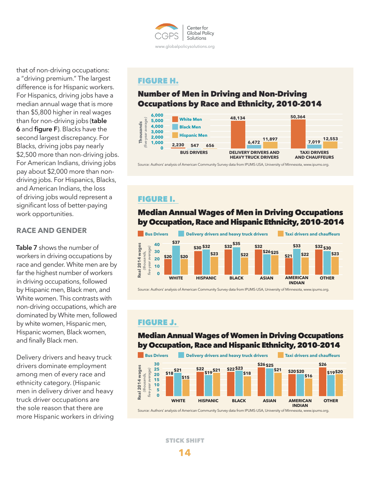

that of non-driving occupations: a "driving premium." The largest difference is for Hispanic workers. For Hispanics, driving jobs have a median annual wage that is more than \$5,800 higher in real wages than for non-driving jobs (**table 6** and **figure F**). Blacks have the second largest discrepancy. For Blacks, driving jobs pay nearly \$2,500 more than non-driving jobs. For American Indians, driving jobs pay about \$2,000 more than nondriving jobs. For Hispanics, Blacks, and American Indians, the loss of driving jobs would represent a significant loss of better-paying work opportunities.

## **RACE AND GENDER**

**Table 7** shows the number of workers in driving occupations by race and gender. White men are by far the highest number of workers in driving occupations, followed by Hispanic men, Black men, and White women. This contrasts with non-driving occupations, which are dominated by White men, followed by white women, Hispanic men, Hispanic women, Black women, and finally Black men.

Delivery drivers and heavy truck drivers dominate employment among men of every race and ethnicity category. (Hispanic men in delivery driver and heavy truck driver occupations are the sole reason that there are more Hispanic workers in driving

## FIGURE H.

# Number of Men in Driving and Non-Driving Occupations by Race and Ethnicity, 2010-2014



Source: Authors' analysis of American Community Survey data from IPUMS-USA, University of Minnesota, www.ipums.org.

## FIGURE I.

## Median Annual Wages of Men in Driving Occupations by Occupation, Race and Hispanic Ethnicity, 2010–2014



Source: Authors' analysis of American Community Survey data from IPUMS-USA, University of Minnesota, www.ipums.org.

# FIGURE J.

## Median Annual Wages of Women in Driving Occupations by Occupation, Race and Hispanic Ethnicity, 2010–2014



Source: Authors' analysis of American Community Survey data from IPUMS-USA, University of Minnesota, www.ipums.org.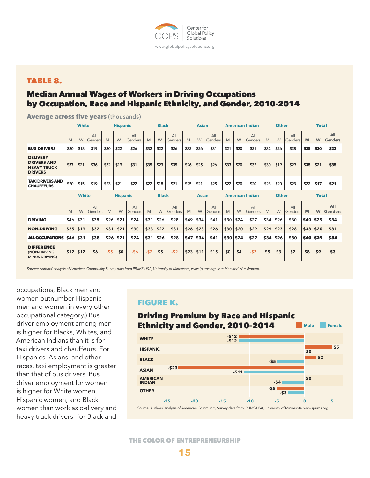

## TABLE 8.

# Median Annual Wages of Workers in Driving Occupations by Occupation, Race and Hispanic Ethnicity, and Gender, 2010-2014

|                                                                               | <b>White</b> |              |                |       | <b>Black</b><br><b>Hispanic</b> |                                 |       |      | <b>Asian</b>   |              |      | <b>American Indian</b> |      |                                        | Other                 |      |      |              | <b>Total</b> |             |                       |
|-------------------------------------------------------------------------------|--------------|--------------|----------------|-------|---------------------------------|---------------------------------|-------|------|----------------|--------------|------|------------------------|------|----------------------------------------|-----------------------|------|------|--------------|--------------|-------------|-----------------------|
|                                                                               | M            | W            | All<br>Genders | M     | W                               | All<br>Genders                  | M     | W    | A<br>Genders   | M            | W    | All<br>Genders         | M    | W                                      | All<br>Genders        | M    | W    | A<br>Genders | M            | W           | All<br><b>Genders</b> |
| <b>BUS DRIVERS</b>                                                            | \$20         | \$18         | \$19           | \$30  | \$22                            | \$26                            | \$32  | \$22 | \$26           | \$32         | \$26 | \$31                   | \$21 | \$20                                   | \$21                  | \$32 | \$26 | \$28         | \$25         | \$20        | \$22                  |
| <b>DELIVERY</b><br><b>DRIVERS AND</b><br><b>HEAVY TRUCK</b><br><b>DRIVERS</b> | \$37         | \$21         | \$36           | \$32  | \$19                            | \$31                            | \$35  | \$23 | \$35           | \$26         | \$25 | \$26                   | \$33 | \$20                                   | \$32                  | \$30 | \$19 | \$29         | \$35         | \$21        | \$35                  |
| <b>TAXI DRIVERS AND</b><br><b>CHAUFFEURS</b>                                  | \$20         | \$15         | \$19           | \$23  | \$21                            | \$22                            | \$22  | \$18 | \$21           | \$25         | \$21 | \$25                   | \$22 | \$20                                   | \$20                  | \$23 | \$20 | \$23         | \$22         | \$17        | \$21                  |
|                                                                               |              | <b>White</b> |                |       |                                 | <b>Black</b><br><b>Hispanic</b> |       |      |                | <b>Asian</b> |      |                        |      | <b>American Indian</b><br><b>Other</b> |                       |      |      | <b>Total</b> |              |             |                       |
|                                                                               | M            | W            | A<br>Genders   | M     | W                               | All<br>Genders                  | M     | W    | All<br>Genders | M            | W    | All<br>Genders         | M    | W                                      | All<br><b>Genders</b> | M    | W    | A<br>Genders | M            | W           | All<br>Genders        |
| <b>DRIVING</b>                                                                | \$46         | \$31         | \$38           | \$26  | \$21                            | \$24                            | \$31  | \$26 | \$28           | \$49         | \$34 | \$41                   | \$30 | \$24                                   | \$27                  | \$34 | \$26 | \$30         | \$40         | \$29        | \$34                  |
| <b>NON-DRIVING</b>                                                            | \$35         | \$19         | \$32           | \$31  | \$21                            | \$30                            | \$33  | \$22 | \$31           | \$26         | \$23 | \$26                   | \$30 | \$20                                   | \$29                  | \$29 | \$23 | \$28         | \$33         | \$20        | \$31                  |
| <b>ALLOCCUPATIONS</b>                                                         | \$46         | \$31         | \$38           | \$26  | \$21                            | \$24                            | \$31  | \$26 | \$28           | \$47         | \$34 | \$41                   | \$30 | \$24                                   | \$27                  | \$34 | \$26 | \$30         | \$40         | <b>\$29</b> | \$34                  |
| <b>DIFFERENCE</b><br>(NON-DRIVING<br><b>MINUS DRIVING)</b>                    | \$12         | \$12         | \$6            | $-55$ | \$0                             | $-56$                           | $-52$ | \$5  | $-52$          | \$23         | \$11 | \$15                   | \$0  | \$4                                    | $-52$                 | \$5  | \$3  | \$2          | \$8          | \$9         | \$3                   |

Average across five years **(thousands)**

*Source: Authors' analysis of American Community Survey data from IPUMS-USA, University of Minnesota, www.ipums.org. M = Men and W = Women.*

occupations; Black men and women outnumber Hispanic men and women in every other occupational category.) Bus driver employment among men is higher for Blacks, Whites, and American Indians than it is for taxi drivers and chauffeurs. For Hispanics, Asians, and other races, taxi employment is greater than that of bus drivers. Bus driver employment for women is higher for White women, Hispanic women, and Black women than work as delivery and heavy truck drivers—for Black and

## FIGURE K.

#### Driving Premium by Race and Hispanic Ethnicity and Gender, 2010–2014 **-\$5 -\$12 -\$12 \$2 \$0 WHITE BLACK HISPANIC Male Female**



**\$5**

THE COLOR OF ENTREPRENEURSHIP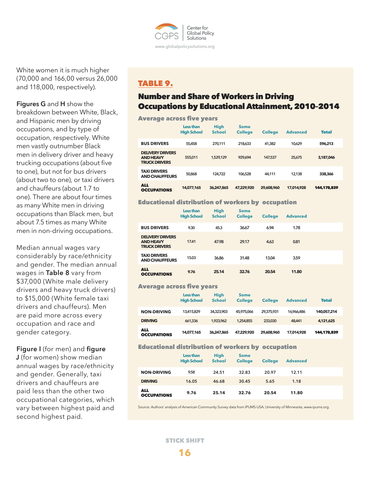

White women it is much higher (70,000 and 166,00 versus 26,000 and 118,000, respectively).

## **Figures G** and **H** show the

breakdown between White, Black, and Hispanic men by driving occupations, and by type of occupation, respectively. White men vastly outnumber Black men in delivery driver and heavy trucking occupations (about five to one), but not for bus drivers (about two to one), or taxi drivers and chauffeurs (about 1.7 to one). There are about four times as many White men in driving occupations than Black men, but about 7.5 times as many White men in non-driving occupations.

Median annual wages vary considerably by race/ethnicity and gender. The median annual wages in **Table 8** vary from \$37,000 (White male delivery drivers and heavy truck drivers) to \$15,000 (White female taxi drivers and chauffeurs). Men are paid more across every occupation and race and gender category.

**Figure I** (for men) and **figure J** (for women) show median annual wages by race/ethnicity and gender. Generally, taxi drivers and chauffeurs are paid less than the other two occupational categories, which vary between highest paid and second highest paid.

# TABLE 9.

# Number and Share of Workers in Driving Occupations by Educational Attainment, 2010–2014

#### Average across five years

|                                                                     | Less than<br><b>High School</b> | <b>High</b><br><b>School</b> | <b>Some</b><br><b>College</b> | <b>College</b> | <b>Advanced</b> | <b>Total</b> |
|---------------------------------------------------------------------|---------------------------------|------------------------------|-------------------------------|----------------|-----------------|--------------|
| <b>BUS DRIVERS</b>                                                  | 55,458                          | 270.111                      | 218,633                       | 41,382         | 10.629          | 596,213      |
| <b>DELIVERY DRIVERS</b><br><b>AND HEAVY</b><br><b>TRUCK DRIVERS</b> | 555,011                         | 1,529,129                    | 929.694                       | 147,537        | 25.675          | 3.187.046    |
| <b>TAXI DRIVERS</b><br><b>AND CHAUFFEURS</b>                        | 50,868                          | 124.722                      | 106.528                       | 44.111         | 12.138          | 338,366      |
| <b>ALL</b><br><b>OCCUPATIONS</b>                                    | 14,077,165                      | 36.247.865                   | 47.229.920                    | 29,608,960     | 17.014.928      | 144.178.839  |

#### Educational distribution of workers by occupation

|                                                                     | Less than<br><b>High School</b> | <b>High</b><br><b>School</b> | <b>Some</b><br><b>College</b> | <b>College</b> | <b>Advanced</b> |
|---------------------------------------------------------------------|---------------------------------|------------------------------|-------------------------------|----------------|-----------------|
| <b>BUS DRIVERS</b>                                                  | 9.30                            | 45.3                         | 36.67                         | 6.94           | 1.78            |
| <b>DELIVERY DRIVERS</b><br><b>AND HEAVY</b><br><b>TRUCK DRIVERS</b> | 17.41                           | 47.98                        | 29.17                         | 4.63           | 0.81            |
| <b>TAXI DRIVERS</b><br><b>AND CHAUFFEURS</b>                        | 15.03                           | 36.86                        | 31.48                         | 13.04          | 3.59            |
| <b>ALL</b><br><b>OCCUPATIONS</b>                                    | 9.76                            | 25.14                        | 32.76                         | 20.54          | 11.80           |

#### Average across five years

|                                  | Less than<br><b>High School</b> | <b>High</b><br><b>School</b> | <b>Some</b><br><b>College</b> | <b>College</b> | <b>Advanced</b> | <b>Total</b> |
|----------------------------------|---------------------------------|------------------------------|-------------------------------|----------------|-----------------|--------------|
| <b>NON-DRIVING</b>               | 13,415,829                      | 34,323,903                   | 45,975,066                    | 29,375,931     | 16.966.486      | 140.057.214  |
| <b>DRIVING</b>                   | 661,336                         | 1.923.962                    | 1.254.855                     | 233,030        | 48,441          | 4.121.625    |
| <b>ALL</b><br><b>OCCUPATIONS</b> | 14.077.165                      | 36.247.865                   | 47.229.920                    | 29,608,960     | 17,014,928      | 144.178.839  |

### Educational distribution of workers by occupation

|                                  | Less than<br><b>High School</b> | <b>High</b><br><b>School</b> | <b>Some</b><br><b>College</b> | <b>College</b> | <b>Advanced</b> |
|----------------------------------|---------------------------------|------------------------------|-------------------------------|----------------|-----------------|
| <b>NON-DRIVING</b>               | 9.58                            | 24.51                        | 32.83                         | 20.97          | 12.11           |
| <b>DRIVING</b>                   | 16.05                           | 46.68                        | 30.45                         | 5.65           | 1.18            |
| <b>ALL</b><br><b>OCCUPATIONS</b> | 9.76                            | 25.14                        | 32.76                         | 20.54          | 11.80           |

Source: Authors' analysis of American Community Survey data from IPUMS-USA, University of Minnesota, www.ipums.org.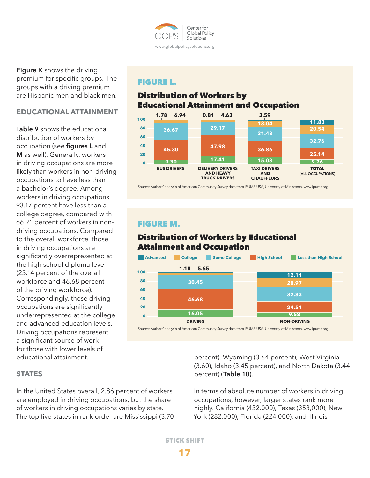

**Figure K** shows the driving premium for specific groups. The groups with a driving premium are Hispanic men and black men.

## **EDUCATIONAL ATTAINMENT**

**Table 9** shows the educational distribution of workers by occupation (see **figures L** and **M** as well). Generally, workers in driving occupations are more likely than workers in non-driving occupations to have less than a bachelor's degree. Among workers in driving occupations, 93.17 percent have less than a college degree, compared with 66.91 percent of workers in nondriving occupations. Compared to the overall workforce, those in driving occupations are significantly overrepresented at the high school diploma level (25.14 percent of the overall workforce and 46.68 percent of the driving workforce). Correspondingly, these driving occupations are significantly underrepresented at the college and advanced education levels. Driving occupations represent a significant source of work for those with lower levels of educational attainment.

# FIGURE L.

# Distribution of Workers by Educational Attainment and Occupation



Source: Authors' analysis of American Community Survey data from IPUMS-USA, University of Minnesota, www.ipums.org.

## FIGURE M.

# Distribution of Workers by Educational Attainment and Occupation



Source: Authors' analysis of American Community Survey data from IPUMS-USA, University of Minnesota, www.ipums.org.

## **STATES**

In the United States overall, 2.86 percent of workers are employed in driving occupations, but the share of workers in driving occupations varies by state. The top five states in rank order are Mississippi (3.70

percent), Wyoming (3.64 percent), West Virginia (3.60), Idaho (3.45 percent), and North Dakota (3.44 percent) (**Table 10)**.

In terms of absolute number of workers in driving occupations, however, larger states rank more highly. California (432,000), Texas (353,000), New York (282,000), Florida (224,000), and Illinois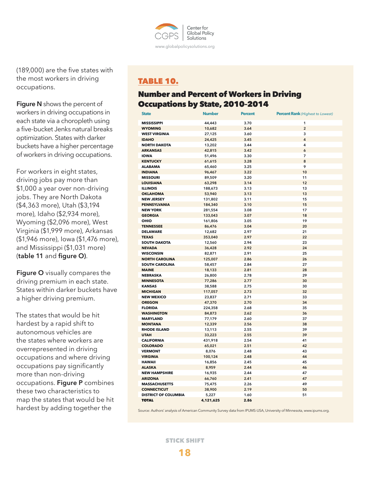

(189,000) are the five states with the most workers in driving occupations.

**Figure N** shows the percent of workers in driving occupations in each state via a choropleth using a five-bucket Jenks natural breaks optimization. States with darker buckets have a higher percentage of workers in driving occupations.

For workers in eight states, driving jobs pay more than \$1,000 a year over non-driving jobs. They are North Dakota (\$4,363 more), Utah (\$3,194 more), Idaho (\$2,934 more), Wyoming (\$2,096 more), West Virginia (\$1,999 more), Arkansas (\$1,946 more), Iowa (\$1,476 more), and Mississippi (\$1,031 more) (**table 11** and **figure O)**.

**Figure O** visually compares the driving premium in each state. States within darker buckets have a higher driving premium.

The states that would be hit hardest by a rapid shift to autonomous vehicles are the states where workers are overrepresented in driving occupations and where driving occupations pay significantly more than non-driving occupations. **Figure P** combines these two characteristics to map the states that would be hit hardest by adding together the

# TABLE 10.

# Number and Percent of Workers in Driving Occupations by State, 2010–2014

| <b>State</b>                | <b>Number</b>      | <b>Percent</b> | <b>Percent Rank</b> (Highest to Lowest) |
|-----------------------------|--------------------|----------------|-----------------------------------------|
| <b>MISSISSIPPI</b>          | 44,443             | 3.70           | 1                                       |
| <b>WYOMING</b>              | 10,682             | 3.64           | $\overline{2}$                          |
| <b>WEST VIRGINIA</b>        | 27,125             | 3.60           | 3                                       |
| <b>IDAHO</b>                | 24,425             | 3.45           | 4                                       |
| <b>NORTH DAKOTA</b>         | 13,202             | 3.44           | 4                                       |
| <b>ARKANSAS</b>             | 42,815             | 3.42           | 6                                       |
| <b>IOWA</b>                 | 51,496             | 3.30           | $\overline{7}$                          |
| <b>KENTUCKY</b>             | 61,615             | 3.28           | 8                                       |
| <b>ALABAMA</b>              | 65,460             | 3.25           | 9                                       |
| <b>INDIANA</b>              | 96,467             | 3.22           | 10                                      |
| <b>MISSOURI</b>             | 89,509             | 3.20           | 11                                      |
| <b>LOUISIANA</b>            | 63,298             | 3.14           | 12                                      |
| <b>ILLINOIS</b>             | 188,673            | 3.13           | 13                                      |
| <b>OKLAHOMA</b>             | 53,940             | 3.13           | 13                                      |
| <b>NEW JERSEY</b>           | 131,802            | 3.11           | 15                                      |
| <b>PENNSYLVANIA</b>         | 184,340            | 3.10           | 15                                      |
| <b>NEW YORK</b>             | 281,554            | 3.08           | 17                                      |
| <b>GEORGIA</b>              |                    | 3.07           | 18                                      |
| OHIO                        | 133,043<br>161,806 | 3.05           | 19                                      |
| <b>TENNESSEE</b>            |                    | 3.04           | 20                                      |
|                             | 86,476             |                |                                         |
| <b>DELAWARE</b>             | 12,682             | 2.97           | 21                                      |
| <b>TEXAS</b>                | 353,040            | 2.97           | 22                                      |
| <b>SOUTH DAKOTA</b>         | 12,560             | 2.94           | 23                                      |
| <b>NEVADA</b>               | 36,428             | 2.92           | 24                                      |
| <b>WISCONSIN</b>            | 82,871             | 2.91           | 25                                      |
| <b>NORTH CAROLINA</b>       | 125,007            | 2.86           | 26                                      |
| <b>SOUTH CAROLINA</b>       | 58,457             | 2.84           | 27                                      |
| <b>MAINE</b>                | 18,133             | 2.81           | 28                                      |
| <b>NEBRASKA</b>             | 26,800             | 2.78           | 29                                      |
| <b>MINNESOTA</b>            | 77,286             | 2.77           | 30                                      |
| <b>KANSAS</b>               | 38,588             | 2.75           | 30                                      |
| <b>MICHIGAN</b>             | 117,057            | 2.73           | 32                                      |
| <b>NEW MEXICO</b>           | 23,837             | 2.71           | 33                                      |
| <b>OREGON</b>               | 47,370             | 2.70           | 34                                      |
| <b>FLORIDA</b>              | 224,358            | 2.68           | 35                                      |
| <b>WASHINGTON</b>           | 84,873             | 2.62           | 36                                      |
| <b>MARYLAND</b>             | 77,179             | 2.60           | 37                                      |
| <b>MONTANA</b>              | 12,339             | 2.56           | 38                                      |
| <b>RHODE ISLAND</b>         | 13,113             | 2.55           | 39                                      |
| <b>UTAH</b>                 | 33,223             | 2.55           | 39                                      |
| <b>CALIFORNIA</b>           | 431,918            | 2.54           | 41                                      |
| <b>COLORADO</b>             | 65,021             | 2.51           | 42                                      |
| <b>VERMONT</b>              | 8,076              | 2.48           | 43                                      |
| <b>VIRGINIA</b>             | 100,124            | 2.48           | 44                                      |
| <b>HAWAII</b>               | 16,856             | 2.45           | 45                                      |
| <b>ALASKA</b>               | 8,959              | 2.44           | 46                                      |
| <b>NEW HAMPSHIRE</b>        | 16,935             | 2.44           | 47                                      |
| <b>ARIZONA</b>              | 66,760             | 2.41           | 47                                      |
| <b>MASSACHUSETTS</b>        | 75,475             | 2.26           | 49                                      |
| <b>CONNECTICUT</b>          | 38,900             | 2.19           | 50                                      |
| <b>DISTRICT OF COLUMBIA</b> | 5,227              | 1.60           | 51                                      |
| <b>TOTAL</b>                | 4,121,625          | 2.86           |                                         |

Source: Authors' analysis of American Community Survey data from IPUMS-USA, University of Minnesota, www.ipums.org.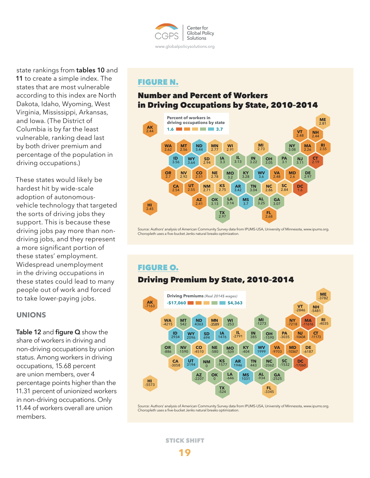

state rankings from **tables 10** and **11** to create a simple index. The states that are most vulnerable according to this index are North Dakota, Idaho, Wyoming, West Virginia, Mississippi, Arkansas, and Iowa. (The District of Columbia is by far the least vulnerable, ranking dead last by both driver premium and percentage of the population in driving occupations.)

These states would likely be hardest hit by wide-scale adoption of autonomousvehicle technology that targeted the sorts of driving jobs they support. This is because these driving jobs pay more than nondriving jobs, and they represent a more significant portion of these states' employment. Widespread unemployment in the driving occupations in these states could lead to many people out of work and forced to take lower-paying jobs.

## **UNIONS**

**Table 12** and **figure Q** show the share of workers in driving and non-driving occupations by union status. Among workers in driving occupations, 15.68 percent are union members, over 4 percentage points higher than the 11.31 percent of unionized workers in non-driving occupations. Only 11.44 of workers overall are union members.

## FIGURE N.

# Number and Percent of Workers in Driving Occupations by State, 2010–2014



Source: Authors' analysis of American Community Survey data from IPUMS-USA, University of Minnesota, www.ipums.org. Choropleth uses a five-bucket Jenks natural breaks optimization.

# Driving Premium by State, 2010–2014 FIGURE O.



Source: Authors' analysis of American Community Survey data from IPUMS-USA, University of Minnesota, www.ipums.org. Choropleth uses a five-bucket Jenks natural breaks optimization.

STICK SHIFT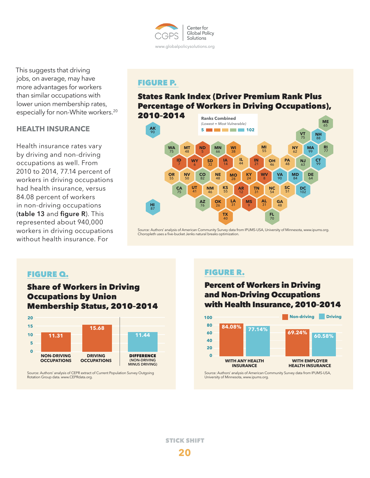

This suggests that driving jobs, on average, may have more advantages for workers than similar occupations with lower union membership rates, especially for non-White workers.<sup>20</sup>

## **HEALTH INSURANCE**

Health insurance rates vary by driving and non-driving occupations as well. From 2010 to 2014, 77.14 percent of workers in driving occupations had health insurance, versus 84.08 percent of workers in non-driving occupations (**table 13** and **figure R**). This represented about 940,000 workers in driving occupations without health insurance. For

# FIGURE P.

# States Rank Index (Driver Premium Rank Plus Percentage of Workers in Driving Occupations),



Source: Authors' analysis of American Community Survey data from IPUMS-USA, University of Minnesota, www.ipums.org. Choropleth uses a five-bucket Jenks natural breaks optimization.

## FIGURE Q.

# Share of Workers in Driving Occupations by Union Membership Status, 2010–2014



Source: Authors' analysis of CEPR extract of Current Population Survey Outgoing Rotation Group data. www.CEPRdata.org.

# FIGURE R.

# Percent of Workers in Driving and Non-Driving Occupations with Health Insurance, 2010–2014



Source: Authors' analysis of American Community Survey data from IPUMS-USA, University of Minnesota, www.ipums.org.

**20** STICK SHIFT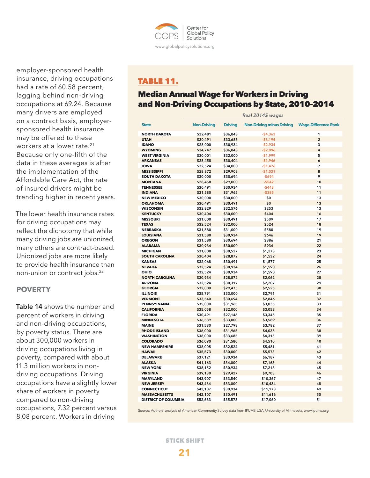

employer-sponsored health insurance, driving occupations had a rate of 60.58 percent, lagging behind non-driving occupations at 69.24. Because many drivers are employed on a contract basis, employersponsored health insurance may be offered to these workers at a lower rate.<sup>21</sup> Because only one-fifth of the data in these averages is after the implementation of the Affordable Care Act, the rate of insured drivers might be trending higher in recent years.

The lower health insurance rates for driving occupations may reflect the dichotomy that while many driving jobs are unionized, many others are contract-based. Unionized jobs are more likely to provide health insurance than non-union or contract jobs.22

## **POVERTY**

**Table 14** shows the number and percent of workers in driving and non-driving occupations, by poverty status. There are about 300,000 workers in driving occupations living in poverty, compared with about 11.3 million workers in nondriving occupations. Driving occupations have a slightly lower share of workers in poverty compared to non-driving occupations, 7.32 percent versus 8.08 percent. Workers in driving

# TABLE 11.

# Median Annual Wage for Workers in Driving and Non-Driving Occupations by State, 2010–2014

|                             | Real 2014\$ wages  |                |                                  |                             |  |
|-----------------------------|--------------------|----------------|----------------------------------|-----------------------------|--|
| <b>State</b>                | <b>Non-Driving</b> | <b>Driving</b> | <b>Non-Driving minus Driving</b> | <b>Wage-Difference Rank</b> |  |
| <b>NORTH DAKOTA</b>         | \$32,481           | \$36,843       | $-$4,363$                        | 1                           |  |
| <b>UTAH</b>                 | \$30,491           | \$33,685       | $- $3,194$                       | $\overline{2}$              |  |
| <b>IDAHO</b>                | \$28,000           | \$30,934       | $-$2,934$                        | 3                           |  |
| <b>WYOMING</b>              | \$34,747           | \$36,843       | $-$2,096$                        | 4                           |  |
| <b>WEST VIRGINIA</b>        | \$30,001           | \$32,000       | $-$1,999$                        | 5                           |  |
| <b>ARKANSAS</b>             | \$28,458           | \$30,404       | $-$1,946$                        | 6                           |  |
| <b>IOWA</b>                 | \$32,524           | \$34,000       | $-$1,476$                        | 7                           |  |
| <b>MISSISSIPPI</b>          | \$28,872           | \$29,903       | $-$1,031$                        | 8                           |  |
| <b>SOUTH DAKOTA</b>         | \$30,000           | \$30,694       | $-5694$                          | 9                           |  |
| <b>MONTANA</b>              | \$28,458           | \$29,000       | $-5542$                          | 10                          |  |
| <b>TENNESSEE</b>            | \$30,491           | \$30,934       | $-$443$                          | 11                          |  |
| <b>INDIANA</b>              | \$31,580           | \$31,965       | $-$385$                          | 11                          |  |
| <b>NEW MEXICO</b>           | \$30,000           | \$30,000       | \$0                              | 13                          |  |
| <b>OKLAHOMA</b>             | \$30,491           | \$30,491       | \$0                              | 13                          |  |
| <b>WISCONSIN</b>            | \$32,829           | \$32,576       | \$253                            | 13                          |  |
| <b>KENTUCKY</b>             | \$30,404           | \$30,000       | \$404                            | 16                          |  |
| <b>MISSOURI</b>             | \$31,000           | \$30,491       | \$509                            | 17                          |  |
| <b>TEXAS</b>                | \$32,524           | \$32,000       | \$524                            | 18                          |  |
| <b>NEBRASKA</b>             | \$31,580           | \$31,000       | \$580                            | 19                          |  |
| <b>LOUISIANA</b>            | \$31,580           | \$30,934       | \$646                            | 19                          |  |
| <b>OREGON</b>               | \$31,580           | \$30,694       | \$886                            | 21                          |  |
| <b>ALABAMA</b>              | \$30,934           | \$30,000       | \$934                            | 22                          |  |
| <b>MICHIGAN</b>             | \$31,800           | \$30,527       | \$1,273                          | 23                          |  |
| <b>SOUTH CAROLINA</b>       | \$30,404           | \$28,872       | \$1,532                          | 24                          |  |
| <b>KANSAS</b>               | \$32,068           | \$30,491       | \$1,577                          | 25                          |  |
| <b>NEVADA</b>               | \$32,524           | \$30,934       | \$1,590                          | 26                          |  |
| OHIO                        | \$32,524           | \$30,934       | \$1,590                          | 27                          |  |
| <b>NORTH CAROLINA</b>       | \$30,934           | \$28,872       | \$2,062                          | 28                          |  |
| <b>ARIZONA</b>              | \$32,524           | \$30,317       | \$2,207                          | 29                          |  |
| <b>GEORGIA</b>              | \$32,000           | \$29,475       | \$2,525                          | 30                          |  |
| <b>ILLINOIS</b>             | \$35,791           | \$33,000       | \$2,791                          | 31                          |  |
| <b>VERMONT</b>              | \$33,540           | \$30,694       | \$2,846                          | 32                          |  |
| <b>PENNSYLVANIA</b>         | \$35,000           | \$31,965       | \$3,035                          | 33                          |  |
| <b>CALIFORNIA</b>           | \$35,058           | \$32,000       | \$3,058                          | 34                          |  |
| <b>FLORIDA</b>              | \$30,491           | \$27,146       | \$3,345                          | 35                          |  |
| <b>MINNESOTA</b>            | \$36,589           | \$33,000       | \$3,589                          | 36                          |  |
| <b>MAINE</b>                | \$31,580           | \$27,798       | \$3,782                          | 37                          |  |
| <b>RHODE ISLAND</b>         | \$36,000           | \$31,965       | \$4,035                          | 38                          |  |
| <b>WASHINGTON</b>           | \$38,000           | \$33,685       | \$4,315                          | 39                          |  |
| <b>COLORADO</b>             | \$36,090           | \$31,580       | \$4,510                          | 40                          |  |
| <b>NEW HAMPSHIRE</b>        | \$38,005           | \$32,524       | \$5,481                          | 41                          |  |
| <b>HAWAII</b>               | \$35,573           | \$30,000       | \$5,573                          | 42                          |  |
| <b>DELAWARE</b>             | \$37,121           | \$30,934       | \$6,187                          | 43                          |  |
| <b>ALASKA</b>               | \$41,163           | \$34,000       | \$7,163                          | 44                          |  |
| <b>NEW YORK</b>             | \$38,152           | \$30,934       | \$7,218                          | 45                          |  |
| <b>VIRGINIA</b>             | \$39,130           | \$29,427       | \$9,703                          | 46                          |  |
| <b>MARYLAND</b>             | \$43,907           | \$33,540       | \$10,367                         | 47                          |  |
| <b>NEW JERSEY</b>           | \$43,434           | \$33,000       | \$10,434                         | 48                          |  |
| <b>CONNECTICUT</b>          | \$42,107           | \$30,934       | \$11,173                         | 49                          |  |
| <b>MASSACHUSETTS</b>        | \$42,107           | \$30,491       | \$11,616                         | 50                          |  |
| <b>DISTRICT OF COLUMBIA</b> | \$52,633           | \$35,573       | \$17,060                         | 51                          |  |

Source: Authors' analysis of American Community Survey data from IPUMS-USA, University of Minnesota, www.ipums.org.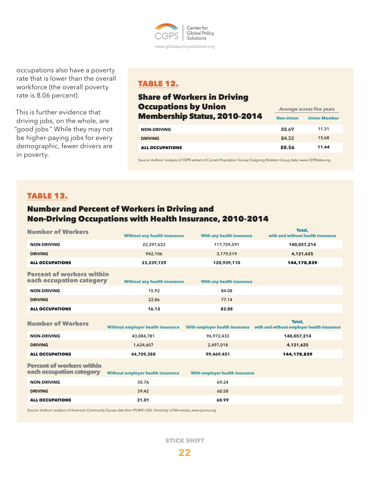

occupations also have a poverty rate that is lower than the overall workforce (the overall poverty rate is 8.06 percent).

This is further evidence that driving jobs, on the whole, are "good jobs." While they may not be higher-paying jobs for every demographic, fewer drivers are in poverty.

# TABLE 12.

# Share of Workers in Driving Occupations by Union **Membership Status, 2010-2014** Non-Union Union Member **NON-DRIVING 88.69 11.31 DRIVING 84.32 15.68** ALL OCCUPATIONS **88.56 11.44** *Average across five years*

Source: Authors' analysis of CEPR extract of Current Population Survey Outgoing Rotation Group data. www.CEPRdata.org.

## TABLE 13.

# Number and Percent of Workers in Driving and Non-Driving Occupations with Health Insurance, 2010–2014

| <b>Number of Workers</b>                                                                                            | <b>Without any health insurance</b>      | With any health insurance        | Total.<br>with and without health insurance                                         |  |  |
|---------------------------------------------------------------------------------------------------------------------|------------------------------------------|----------------------------------|-------------------------------------------------------------------------------------|--|--|
| <b>NON-DRIVING</b>                                                                                                  | 22,297,623                               | 117,759,591                      | 140,057,214                                                                         |  |  |
| <b>DRIVING</b>                                                                                                      | 942,106                                  | 3,179,519                        | 4,121,625                                                                           |  |  |
| <b>ALL OCCUPATIONS</b>                                                                                              | 23,239,729                               | 120,939,110                      | 144,178,839                                                                         |  |  |
| <b>Percent of workers within</b><br>each occupation category                                                        | <b>Without any health insurance</b>      | <b>With any health insurance</b> |                                                                                     |  |  |
| <b>NON-DRIVING</b>                                                                                                  | 15.92                                    | 84.08                            |                                                                                     |  |  |
| <b>DRIVING</b>                                                                                                      | 22.86                                    | 77.14                            |                                                                                     |  |  |
| <b>ALL OCCUPATIONS</b>                                                                                              | 16.12                                    | 83.88                            |                                                                                     |  |  |
| <b>Number of Workers</b>                                                                                            | Without employer health insurance        |                                  | Total.<br>With employer health insurance with and without employer health insurance |  |  |
| <b>NON-DRIVING</b>                                                                                                  | 43,084,781                               | 96,972,433                       | 140,057,214                                                                         |  |  |
| <b>DRIVING</b>                                                                                                      | 1,624,607                                | 2,497,018                        | 4,121,625                                                                           |  |  |
| <b>ALL OCCUPATIONS</b>                                                                                              | 44,709,388                               | 99,469,451                       | 144,178,839                                                                         |  |  |
| <b>Percent of workers within</b><br>each occupation category                                                        | <b>Without employer health insurance</b> | With employer health insurance   |                                                                                     |  |  |
| <b>NON-DRIVING</b>                                                                                                  | 30.76                                    | 69.24                            |                                                                                     |  |  |
| <b>DRIVING</b>                                                                                                      | 39.42                                    | 60.58                            |                                                                                     |  |  |
| <b>ALL OCCUPATIONS</b>                                                                                              | 31.01                                    | 68.99                            |                                                                                     |  |  |
| Source: Authors' analysis of American Community Survey data from IPUMS-USA, University of Minnesota, www.ipums.org. |                                          |                                  |                                                                                     |  |  |

STICK SHIFT

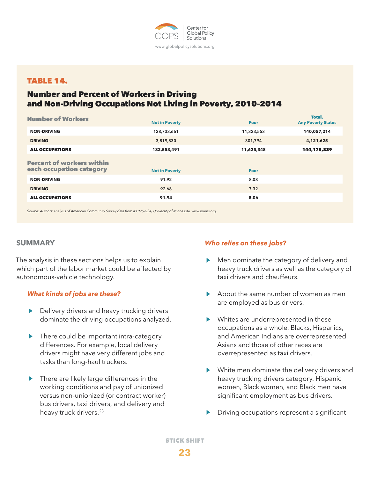

## TABLE 14.

# Number and Percent of Workers in Driving and Non-Driving Occupations Not Living in Poverty, 2010–2014

| <b>Number of Workers</b>                                     | <b>Not in Poverty</b> | <b>Poor</b> | Total,<br><b>Any Poverty Status</b> |
|--------------------------------------------------------------|-----------------------|-------------|-------------------------------------|
| <b>NON-DRIVING</b>                                           | 128,733,661           | 11,323,553  | 140,057,214                         |
| <b>DRIVING</b>                                               | 3,819,830             | 301,794     | 4,121,625                           |
| <b>ALL OCCUPATIONS</b>                                       | 132,553,491           | 11,625,348  | 144,178,839                         |
| <b>Percent of workers within</b><br>each occupation category | <b>Not in Poverty</b> | <b>Poor</b> |                                     |
| <b>NON-DRIVING</b>                                           | 91.92                 | 8.08        |                                     |
| <b>DRIVING</b>                                               | 92.68                 | 7.32        |                                     |
| <b>ALL OCCUPATIONS</b>                                       | 91.94                 | 8.06        |                                     |
|                                                              |                       |             |                                     |

*Source: Authors' analysis of American Community Survey data from IPUMS-USA, University of Minnesota, www.ipums.org.*

## **SUMMARY**

The analysis in these sections helps us to explain which part of the labor market could be affected by autonomous-vehicle technology.

## *What kinds of jobs are these?*

- Delivery drivers and heavy trucking drivers dominate the driving occupations analyzed.
- $\blacktriangleright$ There could be important intra-category differences. For example, local delivery drivers might have very different jobs and tasks than long-haul truckers.
- ▶ There are likely large differences in the working conditions and pay of unionized versus non-unionized (or contract worker) bus drivers, taxi drivers, and delivery and heavy truck drivers.<sup>23</sup>

## *Who relies on these jobs?*

- Men dominate the category of delivery and heavy truck drivers as well as the category of taxi drivers and chauffeurs.
- About the same number of women as men are employed as bus drivers.
- Whites are underrepresented in these occupations as a whole. Blacks, Hispanics, and American Indians are overrepresented. Asians and those of other races are overrepresented as taxi drivers.
- White men dominate the delivery drivers and heavy trucking drivers category. Hispanic women, Black women, and Black men have significant employment as bus drivers.
- Driving occupations represent a significant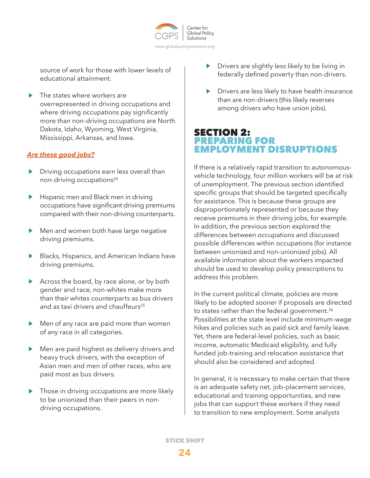

source of work for those with lower levels of educational attainment.

The states where workers are overrepresented in driving occupations and where driving occupations pay significantly more than non-driving occupations are North Dakota, Idaho, Wyoming, West Virginia, Mississippi, Arkansas, and Iowa.

## *Are these good jobs?*

- Driving occupations earn less overall than non-driving occupations<sup>24</sup>
- Hispanic men and Black men in driving  $\blacktriangleright$ occupations have significant driving premiums compared with their non-driving counterparts.
- Men and women both have large negative driving premiums.
- Blacks, Hispanics, and American Indians have driving premiums.
- Across the board, by race alone, or by both gender and race, non-whites make more than their whites counterparts as bus drivers and as taxi drivers and chauffeurs<sup>25</sup>
- Men of any race are paid more than women of any race in all categories.
- Men are paid highest as delivery drivers and heavy truck drivers, with the exception of Asian men and men of other races, who are paid most as bus drivers.
- Those in driving occupations are more likely to be unionized than their peers in nondriving occupations.
- Drivers are slightly less likely to be living in federally defined poverty than non-drivers.
- Drivers are less likely to have health insurance than are non-drivers (this likely reverses among drivers who have union jobs).

## SECTION 2: PREPARING FOR EMPLOYMENT DISRUPTIONS

If there is a relatively rapid transition to autonomousvehicle technology, four million workers will be at risk of unemployment. The previous section identified specific groups that should be targeted specifically for assistance. This is because these groups are disproportionately represented or because they receive premiums in their driving jobs, for example. In addition, the previous section explored the differences between occupations and discussed possible differences within occupations (for instance between unionized and non-unionized jobs). All available information about the workers impacted should be used to develop policy prescriptions to address this problem.

In the current political climate, policies are more likely to be adopted sooner if proposals are directed to states rather than the federal government.<sup>26</sup> Possibilities at the state level include minimum-wage hikes and policies such as paid sick and family leave. Yet, there are federal-level policies, such as basic income, automatic Medicaid eligibility, and fully funded job-training and relocation assistance that should also be considered and adopted.

In general, it is necessary to make certain that there is an adequate safety net, job-placement services, educational and training opportunities, and new jobs that can support these workers if they need to transition to new employment. Some analysts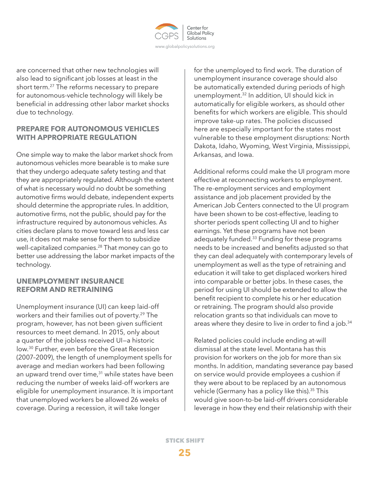

are concerned that other new technologies will also lead to significant job losses at least in the short term.27 The reforms necessary to prepare for autonomous-vehicle technology will likely be beneficial in addressing other labor market shocks due to technology.

## **PREPARE FOR AUTONOMOUS VEHICLES WITH APPROPRIATE REGULATION**

One simple way to make the labor market shock from autonomous vehicles more bearable is to make sure that they undergo adequate safety testing and that they are appropriately regulated. Although the extent of what is necessary would no doubt be something automotive firms would debate, independent experts should determine the appropriate rules. In addition, automotive firms, not the public, should pay for the infrastructure required by autonomous vehicles. As cities declare plans to move toward less and less car use, it does not make sense for them to subsidize well-capitalized companies.<sup>28</sup> That money can go to better use addressing the labor market impacts of the technology.

## **UNEMPLOYMENT INSURANCE REFORM AND RETRAINING**

Unemployment insurance (UI) can keep laid-off workers and their families out of poverty.<sup>29</sup> The program, however, has not been given sufficient resources to meet demand. In 2015, only about a quarter of the jobless received UI—a historic low.30 Further, even before the Great Recession (2007–2009), the length of unemployment spells for average and median workers had been following an upward trend over time, $31$  while states have been reducing the number of weeks laid-off workers are eligible for unemployment insurance. It is important that unemployed workers be allowed 26 weeks of coverage. During a recession, it will take longer

for the unemployed to find work. The duration of unemployment insurance coverage should also be automatically extended during periods of high unemployment.32 In addition, UI should kick in automatically for eligible workers, as should other benefits for which workers are eligible. This should improve take-up rates. The policies discussed here are especially important for the states most vulnerable to these employment disruptions: North Dakota, Idaho, Wyoming, West Virginia, Mississippi, Arkansas, and Iowa.

Additional reforms could make the UI program more effective at reconnecting workers to employment. The re-employment services and employment assistance and job placement provided by the American Job Centers connected to the UI program have been shown to be cost-effective, leading to shorter periods spent collecting UI and to higher earnings. Yet these programs have not been adequately funded.<sup>33</sup> Funding for these programs needs to be increased and benefits adjusted so that they can deal adequately with contemporary levels of unemployment as well as the type of retraining and education it will take to get displaced workers hired into comparable or better jobs. In these cases, the period for using UI should be extended to allow the benefit recipient to complete his or her education or retraining. The program should also provide relocation grants so that individuals can move to areas where they desire to live in order to find a job.<sup>34</sup>

Related policies could include ending at-will dismissal at the state level. Montana has this provision for workers on the job for more than six months. In addition, mandating severance pay based on service would provide employees a cushion if they were about to be replaced by an autonomous vehicle (Germany has a policy like this).<sup>35</sup> This would give soon-to-be laid-off drivers considerable leverage in how they end their relationship with their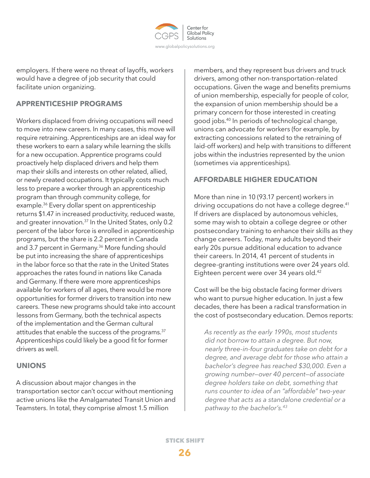

employers. If there were no threat of layoffs, workers would have a degree of job security that could facilitate union organizing.

# **APPRENTICESHIP PROGRAMS**

Workers displaced from driving occupations will need to move into new careers. In many cases, this move will require retraining. Apprenticeships are an ideal way for these workers to earn a salary while learning the skills for a new occupation. Apprentice programs could proactively help displaced drivers and help them map their skills and interests on other related, allied, or newly created occupations. It typically costs much less to prepare a worker through an apprenticeship program than through community college, for example.36 Every dollar spent on apprenticeship returns \$1.47 in increased productivity, reduced waste, and greater innovation.<sup>37</sup> In the United States, only 0.2 percent of the labor force is enrolled in apprenticeship programs, but the share is 2.2 percent in Canada and 3.7 percent in Germany.<sup>36</sup> More funding should be put into increasing the share of apprenticeships in the labor force so that the rate in the United States approaches the rates found in nations like Canada and Germany. If there were more apprenticeships available for workers of all ages, there would be more opportunities for former drivers to transition into new careers. These new programs should take into account lessons from Germany, both the technical aspects of the implementation and the German cultural attitudes that enable the success of the programs.<sup>37</sup> Apprenticeships could likely be a good fit for former drivers as well.

## **UNIONS**

A discussion about major changes in the transportation sector can't occur without mentioning active unions like the Amalgamated Transit Union and Teamsters. In total, they comprise almost 1.5 million

members, and they represent bus drivers and truck drivers, among other non-transportation-related occupations. Given the wage and benefits premiums of union membership, especially for people of color, the expansion of union membership should be a primary concern for those interested in creating good jobs.40 In periods of technological change, unions can advocate for workers (for example, by extracting concessions related to the retraining of laid-off workers) and help with transitions to different jobs within the industries represented by the union (sometimes via apprenticeships).

## **AFFORDABLE HIGHER EDUCATION**

More than nine in 10 (93.17 percent) workers in driving occupations do not have a college degree.<sup>41</sup> If drivers are displaced by autonomous vehicles, some may wish to obtain a college degree or other postsecondary training to enhance their skills as they change careers. Today, many adults beyond their early 20s pursue additional education to advance their careers. In 2014, 41 percent of students in degree-granting institutions were over 24 years old. Eighteen percent were over 34 years old.<sup>42</sup>

Cost will be the big obstacle facing former drivers who want to pursue higher education. In just a few decades, there has been a radical transformation in the cost of postsecondary education. Demos reports:

*As recently as the early 1990s, most students did not borrow to attain a degree. But now, nearly three-in-four graduates take on debt for a degree, and average debt for those who attain a bachelor's degree has reached \$30,000. Even a growing number—over 40 percent—of associate degree holders take on debt, something that runs counter to idea of an "affordable" two-year degree that acts as a standalone credential or a pathway to the bachelor's.43*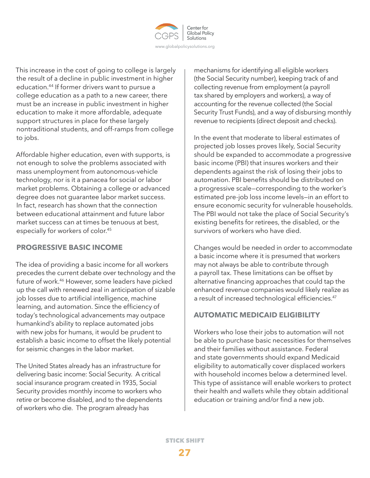

This increase in the cost of going to college is largely the result of a decline in public investment in higher education.44 If former drivers want to pursue a college education as a path to a new career, there must be an increase in public investment in higher education to make it more affordable, adequate support structures in place for these largely nontraditional students, and off-ramps from college to jobs.

Affordable higher education, even with supports, is not enough to solve the problems associated with mass unemployment from autonomous-vehicle technology, nor is it a panacea for social or labor market problems. Obtaining a college or advanced degree does not guarantee labor market success. In fact, research has shown that the connection between educational attainment and future labor market success can at times be tenuous at best, especially for workers of color.45

## **PROGRESSIVE BASIC INCOME**

The idea of providing a basic income for all workers precedes the current debate over technology and the future of work.46 However, some leaders have picked up the call with renewed zeal in anticipation of sizable job losses due to artificial intelligence, machine learning, and automation. Since the efficiency of today's technological advancements may outpace humankind's ability to replace automated jobs with new jobs for humans, it would be prudent to establish a basic income to offset the likely potential for seismic changes in the labor market.

The United States already has an infrastructure for delivering basic income: Social Security. A critical social insurance program created in 1935, Social Security provides monthly income to workers who retire or become disabled, and to the dependents of workers who die. The program already has

mechanisms for identifying all eligible workers (the Social Security number), keeping track of and collecting revenue from employment (a payroll tax shared by employers and workers), a way of accounting for the revenue collected (the Social Security Trust Funds), and a way of disbursing monthly revenue to recipients (direct deposit and checks).

In the event that moderate to liberal estimates of projected job losses proves likely, Social Security should be expanded to accommodate a progressive basic income (PBI) that insures workers and their dependents against the risk of losing their jobs to automation. PBI benefits should be distributed on a progressive scale—corresponding to the worker's estimated pre-job loss income levels—in an effort to ensure economic security for vulnerable households. The PBI would not take the place of Social Security's existing benefits for retirees, the disabled, or the survivors of workers who have died.

Changes would be needed in order to accommodate a basic income where it is presumed that workers may not always be able to contribute through a payroll tax. These limitations can be offset by alternative financing approaches that could tap the enhanced revenue companies would likely realize as a result of increased technological efficiencies.<sup>47</sup>

# **AUTOMATIC MEDICAID ELIGIBILITY**

Workers who lose their jobs to automation will not be able to purchase basic necessities for themselves and their families without assistance. Federal and state governments should expand Medicaid eligibility to automatically cover displaced workers with household incomes below a determined level. This type of assistance will enable workers to protect their health and wallets while they obtain additional education or training and/or find a new job.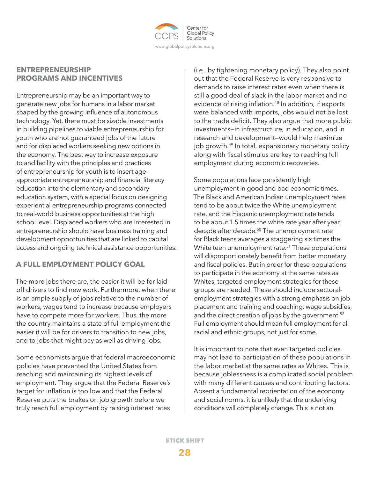

## **ENTREPRENEURSHIP PROGRAMS AND INCENTIVES**

Entrepreneurship may be an important way to generate new jobs for humans in a labor market shaped by the growing influence of autonomous technology. Yet, there must be sizable investments in building pipelines to viable entrepreneurship for youth who are not guaranteed jobs of the future and for displaced workers seeking new options in the economy. The best way to increase exposure to and facility with the principles and practices of entrepreneurship for youth is to insert ageappropriate entrepreneurship and financial literacy education into the elementary and secondary education system, with a special focus on designing experiential entrepreneurship programs connected to real-world business opportunities at the high school level. Displaced workers who are interested in entrepreneurship should have business training and development opportunities that are linked to capital access and ongoing technical assistance opportunities.

# **A FULL EMPLOYMENT POLICY GOAL**

The more jobs there are, the easier it will be for laidoff drivers to find new work. Furthermore, when there is an ample supply of jobs relative to the number of workers, wages tend to increase because employers have to compete more for workers. Thus, the more the country maintains a state of full employment the easier it will be for drivers to transition to new jobs, and to jobs that might pay as well as driving jobs.

Some economists argue that federal macroeconomic policies have prevented the United States from reaching and maintaining its highest levels of employment. They argue that the Federal Reserve's target for inflation is too low and that the Federal Reserve puts the brakes on job growth before we truly reach full employment by raising interest rates

(i.e., by tightening monetary policy). They also point out that the Federal Reserve is very responsive to demands to raise interest rates even when there is still a good deal of slack in the labor market and no evidence of rising inflation.<sup>48</sup> In addition, if exports were balanced with imports, jobs would not be lost to the trade deficit. They also argue that more public investments—in infrastructure, in education, and in research and development—would help maximize job growth.<sup>49</sup> In total, expansionary monetary policy along with fiscal stimulus are key to reaching full employment during economic recoveries.

Some populations face persistently high unemployment in good and bad economic times. The Black and American Indian unemployment rates tend to be about twice the White unemployment rate, and the Hispanic unemployment rate tends to be about 1.5 times the white rate year after year, decade after decade.<sup>50</sup> The unemployment rate for Black teens averages a staggering six times the White teen unemployment rate.<sup>51</sup> These populations will disproportionately benefit from better monetary and fiscal policies. But in order for these populations to participate in the economy at the same rates as Whites, targeted employment strategies for these groups are needed. These should include sectoralemployment strategies with a strong emphasis on job placement and training and coaching, wage subsidies, and the direct creation of jobs by the government.<sup>52</sup> Full employment should mean full employment for all racial and ethnic groups, not just for some.

It is important to note that even targeted policies may not lead to participation of these populations in the labor market at the same rates as Whites. This is because joblessness is a complicated social problem with many different causes and contributing factors. Absent a fundamental reorientation of the economy and social norms, it is unlikely that the underlying conditions will completely change. This is not an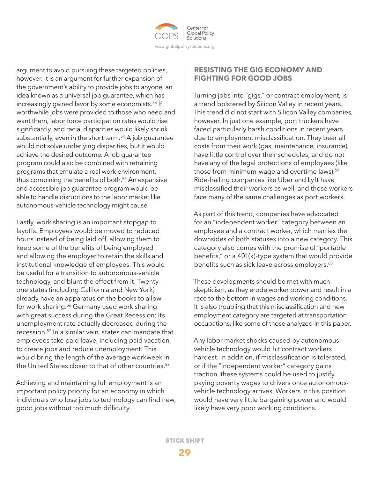

argument to avoid pursuing these targeted policies, however. It is an argument for further expansion of the government's ability to provide jobs to anyone, an idea known as a universal job guarantee, which has increasingly gained favor by some economists.<sup>53</sup> If worthwhile jobs were provided to those who need and want them, labor force participation rates would rise significantly, and racial disparities would likely shrink substantially, even in the short term.<sup>54</sup> A job quarantee would not solve underlying disparities, but it would achieve the desired outcome. A job guarantee program could also be combined with retraining programs that emulate a real work environment, thus combining the benefits of both.55 An expansive and accessible job guarantee program would be able to handle disruptions to the labor market like autonomous-vehicle technology might cause.

Lastly, work sharing is an important stopgap to layoffs. Employees would be moved to reduced hours instead of being laid off, allowing them to keep some of the benefits of being employed and allowing the employer to retain the skills and institutional knowledge of employees. This would be useful for a transition to autonomous-vehicle technology, and blunt the effect from it. Twentyone states (including California and New York) already have an apparatus on the books to allow for work sharing.<sup>56</sup> Germany used work sharing with great success during the Great Recession; its unemployment rate actually decreased during the recession.57 In a similar vein, states can mandate that employees take paid leave, including paid vacation, to create jobs and reduce unemployment. This would bring the length of the average workweek in the United States closer to that of other countries.<sup>58</sup>

Achieving and maintaining full employment is an important policy priority for an economy in which individuals who lose jobs to technology can find new, good jobs without too much difficulty.

## **RESISTING THE GIG ECONOMY AND FIGHTING FOR GOOD JOBS**

Turning jobs into "gigs," or contract employment, is a trend bolstered by Silicon Valley in recent years. This trend did not start with Silicon Valley companies, however. In just one example, port truckers have faced particularly harsh conditions in recent years due to employment misclassification. They bear all costs from their work (gas, maintenance, insurance), have little control over their schedules, and do not have any of the legal protections of employees (like those from minimum-wage and overtime laws).<sup>59</sup> Ride-hailing companies like Uber and Lyft have misclassified their workers as well, and those workers face many of the same challenges as port workers.

As part of this trend, companies have advocated for an "independent worker" category between an employee and a contract worker, which marries the downsides of both statuses into a new category. This category also comes with the promise of "portable benefits," or a 401(k)-type system that would provide benefits such as sick leave across employers.<sup>60</sup>

These developments should be met with much skepticism, as they erode worker power and result in a race to the bottom in wages and working conditions. It is also troubling that this misclassification and new employment category are targeted at transportation occupations, like some of those analyzed in this paper.

Any labor market shocks caused by autonomousvehicle technology would hit contract workers hardest. In addition, if misclassification is tolerated, or if the "independent worker" category gains traction, these systems could be used to justify paying poverty wages to drivers once autonomousvehicle technology arrives. Workers in this position would have very little bargaining power and would likely have very poor working conditions.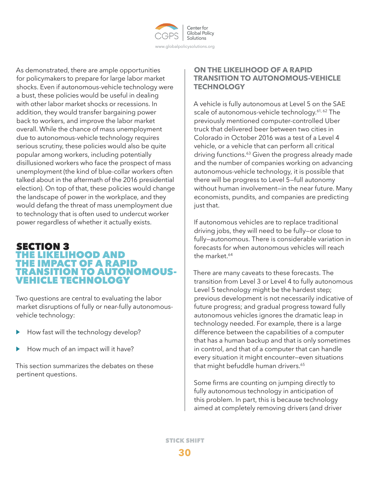

As demonstrated, there are ample opportunities for policymakers to prepare for large labor market shocks. Even if autonomous-vehicle technology were a bust, these policies would be useful in dealing with other labor market shocks or recessions. In addition, they would transfer bargaining power back to workers, and improve the labor market overall. While the chance of mass unemployment due to autonomous-vehicle technology requires serious scrutiny, these policies would also be quite popular among workers, including potentially disillusioned workers who face the prospect of mass unemployment (the kind of blue-collar workers often talked about in the aftermath of the 2016 presidential election). On top of that, these policies would change the landscape of power in the workplace, and they would defang the threat of mass unemployment due to technology that is often used to undercut worker power regardless of whether it actually exists.

# SECTION 3 HE LIKELIHOOD AND THE IMPACT OF A RAPID **ANSITION TO AUTONOMOUS-**VEHICLE TECHNOLOGY

Two questions are central to evaluating the labor market disruptions of fully or near-fully autonomousvehicle technology:

- How fast will the technology develop? ▶
- How much of an impact will it have? ▶

This section summarizes the debates on these pertinent questions.

## **ON THE LIKELIHOOD OF A RAPID TRANSITION TO AUTONOMOUS-VEHICLE TECHNOLOGY**

A vehicle is fully autonomous at Level 5 on the SAE scale of autonomous-vehicle technology.<sup>61, 62</sup> The previously mentioned computer-controlled Uber truck that delivered beer between two cities in Colorado in October 2016 was a test of a Level 4 vehicle, or a vehicle that can perform all critical driving functions.<sup>63</sup> Given the progress already made and the number of companies working on advancing autonomous-vehicle technology, it is possible that there will be progress to Level 5—full autonomy without human involvement—in the near future. Many economists, pundits, and companies are predicting just that.

If autonomous vehicles are to replace traditional driving jobs, they will need to be fully—or close to fully—autonomous. There is considerable variation in forecasts for when autonomous vehicles will reach the market.<sup>64</sup>

There are many caveats to these forecasts. The transition from Level 3 or Level 4 to fully autonomous Level 5 technology might be the hardest step; previous development is not necessarily indicative of future progress; and gradual progress toward fully autonomous vehicles ignores the dramatic leap in technology needed. For example, there is a large difference between the capabilities of a computer that has a human backup and that is only sometimes in control, and that of a computer that can handle every situation it might encounter—even situations that might befuddle human drivers.<sup>65</sup>

Some firms are counting on jumping directly to fully autonomous technology in anticipation of this problem. In part, this is because technology aimed at completely removing drivers (and driver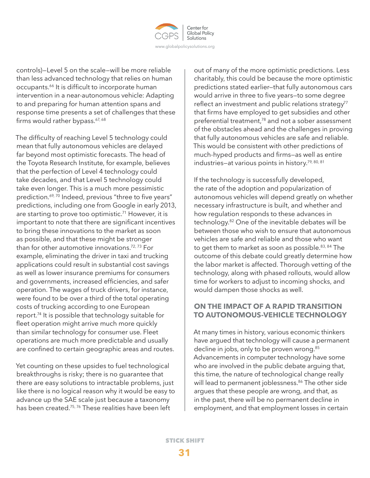

controls)—Level 5 on the scale—will be more reliable than less advanced technology that relies on human occupants.<sup>66</sup> It is difficult to incorporate human intervention in a near-autonomous vehicle: Adapting to and preparing for human attention spans and response time presents a set of challenges that these firms would rather bypass.<sup>67, 68</sup>

The difficulty of reaching Level 5 technology could mean that fully autonomous vehicles are delayed far beyond most optimistic forecasts. The head of the Toyota Research Institute, for example, believes that the perfection of Level 4 technology could take decades, and that Level 5 technology could take even longer. This is a much more pessimistic prediction.<sup>69, 70</sup> Indeed, previous "three to five years" predictions, including one from Google in early 2013, are starting to prove too optimistic.<sup>71</sup> However, it is important to note that there are significant incentives to bring these innovations to the market as soon as possible, and that these might be stronger than for other automotive innovations.<sup>72, 73</sup> For example, eliminating the driver in taxi and trucking applications could result in substantial cost savings as well as lower insurance premiums for consumers and governments, increased efficiencies, and safer operation. The wages of truck drivers, for instance, were found to be over a third of the total operating costs of trucking according to one European report.74 It is possible that technology suitable for fleet operation might arrive much more quickly than similar technology for consumer use. Fleet operations are much more predictable and usually are confined to certain geographic areas and routes.

Yet counting on these upsides to fuel technological breakthroughs is risky; there is no guarantee that there are easy solutions to intractable problems, just like there is no logical reason why it would be easy to advance up the SAE scale just because a taxonomy has been created.<sup>75, 76</sup> These realities have been left

out of many of the more optimistic predictions. Less charitably, this could be because the more optimistic predictions stated earlier—that fully autonomous cars would arrive in three to five years—to some degree reflect an investment and public relations strategy<sup>77</sup> that firms have employed to get subsidies and other preferential treatment,78 and not a sober assessment of the obstacles ahead and the challenges in proving that fully autonomous vehicles are safe and reliable. This would be consistent with other predictions of much-hyped products and firms—as well as entire industries-at various points in history.<sup>79, 80, 81</sup>

If the technology is successfully developed, the rate of the adoption and popularization of autonomous vehicles will depend greatly on whether necessary infrastructure is built, and whether and how regulation responds to these advances in technology.82 One of the inevitable debates will be between those who wish to ensure that autonomous vehicles are safe and reliable and those who want to get them to market as soon as possible.<sup>83, 84</sup> The outcome of this debate could greatly determine how the labor market is affected. Thorough vetting of the technology, along with phased rollouts, would allow time for workers to adjust to incoming shocks, and would dampen those shocks as well.

## **ON THE IMPACT OF A RAPID TRANSITION TO AUTONOMOUS-VEHICLE TECHNOLOGY**

At many times in history, various economic thinkers have argued that technology will cause a permanent decline in jobs, only to be proven wrong.<sup>85</sup> Advancements in computer technology have some who are involved in the public debate arguing that, this time, the nature of technological change really will lead to permanent joblessness.<sup>86</sup> The other side argues that these people are wrong, and that, as in the past, there will be no permanent decline in employment, and that employment losses in certain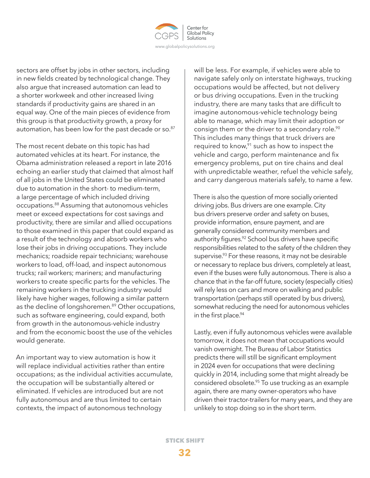

sectors are offset by jobs in other sectors, including in new fields created by technological change. They also argue that increased automation can lead to a shorter workweek and other increased living standards if productivity gains are shared in an equal way. One of the main pieces of evidence from this group is that productivity growth, a proxy for automation, has been low for the past decade or so.<sup>87</sup>

The most recent debate on this topic has had automated vehicles at its heart. For instance, the Obama administration released a report in late 2016 echoing an earlier study that claimed that almost half of all jobs in the United States could be eliminated due to automation in the short- to medium-term, a large percentage of which included driving occupations.88 Assuming that autonomous vehicles meet or exceed expectations for cost savings and productivity, there are similar and allied occupations to those examined in this paper that could expand as a result of the technology and absorb workers who lose their jobs in driving occupations. They include mechanics; roadside repair technicians; warehouse workers to load, off-load, and inspect autonomous trucks; rail workers; mariners; and manufacturing workers to create specific parts for the vehicles. The remaining workers in the trucking industry would likely have higher wages, following a similar pattern as the decline of longshoremen.<sup>89</sup> Other occupations, such as software engineering, could expand, both from growth in the autonomous-vehicle industry and from the economic boost the use of the vehicles would generate.

An important way to view automation is how it will replace individual activities rather than entire occupations; as the individual activities accumulate, the occupation will be substantially altered or eliminated. If vehicles are introduced but are not fully autonomous and are thus limited to certain contexts, the impact of autonomous technology

will be less. For example, if vehicles were able to navigate safely only on interstate highways, trucking occupations would be affected, but not delivery or bus driving occupations. Even in the trucking industry, there are many tasks that are difficult to imagine autonomous-vehicle technology being able to manage, which may limit their adoption or consign them or the driver to a secondary role.<sup>90</sup> This includes many things that truck drivers are required to know, $91$  such as how to inspect the vehicle and cargo, perform maintenance and fix emergency problems, put on tire chains and deal with unpredictable weather, refuel the vehicle safely, and carry dangerous materials safely, to name a few.

There is also the question of more socially oriented driving jobs. Bus drivers are one example. City bus drivers preserve order and safety on buses, provide information, ensure payment, and are generally considered community members and authority figures.<sup>92</sup> School bus drivers have specific responsibilities related to the safety of the children they supervise.<sup>93</sup> For these reasons, it may not be desirable or necessary to replace bus drivers, completely at least, even if the buses were fully autonomous. There is also a chance that in the far-off future, society (especially cities) will rely less on cars and more on walking and public transportation (perhaps still operated by bus drivers), somewhat reducing the need for autonomous vehicles in the first place.<sup>94</sup>

Lastly, even if fully autonomous vehicles were available tomorrow, it does not mean that occupations would vanish overnight. The Bureau of Labor Statistics predicts there will still be significant employment in 2024 even for occupations that were declining quickly in 2014, including some that might already be considered obsolete.<sup>95</sup> To use trucking as an example again, there are many owner-operators who have driven their tractor-trailers for many years, and they are unlikely to stop doing so in the short term.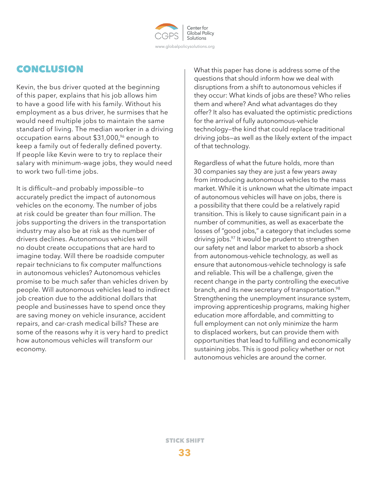

# CONCLUSION

Kevin, the bus driver quoted at the beginning of this paper, explains that his job allows him to have a good life with his family. Without his employment as a bus driver, he surmises that he would need multiple jobs to maintain the same standard of living. The median worker in a driving occupation earns about \$31,000,<sup>96</sup> enough to keep a family out of federally defined poverty. If people like Kevin were to try to replace their salary with minimum-wage jobs, they would need to work two full-time jobs.

It is difficult—and probably impossible—to accurately predict the impact of autonomous vehicles on the economy. The number of jobs at risk could be greater than four million. The jobs supporting the drivers in the transportation industry may also be at risk as the number of drivers declines. Autonomous vehicles will no doubt create occupations that are hard to imagine today. Will there be roadside computer repair technicians to fix computer malfunctions in autonomous vehicles? Autonomous vehicles promise to be much safer than vehicles driven by people. Will autonomous vehicles lead to indirect job creation due to the additional dollars that people and businesses have to spend once they are saving money on vehicle insurance, accident repairs, and car-crash medical bills? These are some of the reasons why it is very hard to predict how autonomous vehicles will transform our economy.

What this paper has done is address some of the questions that should inform how we deal with disruptions from a shift to autonomous vehicles if they occur: What kinds of jobs are these? Who relies them and where? And what advantages do they offer? It also has evaluated the optimistic predictions for the arrival of fully autonomous-vehicle technology—the kind that could replace traditional driving jobs—as well as the likely extent of the impact of that technology.

Regardless of what the future holds, more than 30 companies say they are just a few years away from introducing autonomous vehicles to the mass market. While it is unknown what the ultimate impact of autonomous vehicles will have on jobs, there is a possibility that there could be a relatively rapid transition. This is likely to cause significant pain in a number of communities, as well as exacerbate the losses of "good jobs," a category that includes some driving jobs.<sup>97</sup> It would be prudent to strengthen our safety net and labor market to absorb a shock from autonomous-vehicle technology, as well as ensure that autonomous-vehicle technology is safe and reliable. This will be a challenge, given the recent change in the party controlling the executive branch, and its new secretary of transportation.<sup>98</sup> Strengthening the unemployment insurance system, improving apprenticeship programs, making higher education more affordable, and committing to full employment can not only minimize the harm to displaced workers, but can provide them with opportunities that lead to fulfilling and economically sustaining jobs. This is good policy whether or not autonomous vehicles are around the corner.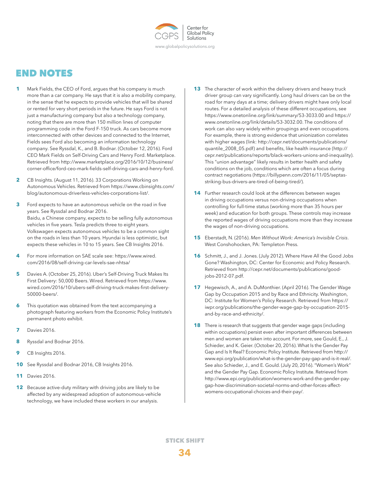

# END NOTES

- **1** Mark Fields, the CEO of Ford, argues that his company is much more than a car company. He says that it is also a mobility company, in the sense that he expects to provide vehicles that will be shared or rented for very short periods in the future. He says Ford is not just a manufacturing company but also a technology company, noting that there are more than 150 million lines of computer programming code in the Ford F-150 truck. As cars become more interconnected with other devices and connected to the Internet, Fields sees Ford also becoming an information technology company. See Ryssdal, K., and B. Bodnar. (October 12, 2016). Ford CEO Mark Fields on Self-Driving Cars and Henry Ford. Marketplace. Retrieved from http://www.marketplace.org/2016/10/12/business/ corner-office/ford-ceo-mark-fields-self-driving-cars-and-henry-ford.
- **2** CB Insights. (August 11, 2016). 33 Corporations Working on Autonomous Vehicles. Retrieved from https://www.cbinsights.com/ blog/autonomous-driverless-vehicles-corporations-list/.
- **3** Ford expects to have an autonomous vehicle on the road in five years. See Ryssdal and Bodnar 2016. Baidu, a Chinese company, expects to be selling fully autonomous vehicles in five years. Tesla predicts three to eight years. Volkswagen expects autonomous vehicles to be a common sight on the roads in less than 10 years. Hyundai is less optimistic, but expects these vehicles in 10 to 15 years. See CB Insights 2016.
- **4** For more information on SAE scale see: https://www.wired. com/2016/08/self-driving-car-levels-sae-nhtsa/
- **5** Davies A. (October 25, 2016). Uber's Self-Driving Truck Makes Its First Delivery: 50,000 Beers. Wired. Retrieved from https://www. wired.com/2016/10/ubers-self-driving-truck-makes-first-delivery-50000-beers/.
- **6** This quotation was obtained from the text accompanying a photograph featuring workers from the Economic Policy Institute's permanent photo exhibit.
- **7** Davies 2016.
- **8** Ryssdal and Bodnar 2016.
- **9** CB Insights 2016.
- **10** See Ryssdal and Bodnar 2016, CB Insights 2016.
- **11** Davies 2016.
- **12** Because active-duty military with driving jobs are likely to be affected by any widespread adoption of autonomous-vehicle technology, we have included these workers in our analysis.
- **13** The character of work within the delivery drivers and heavy truck driver group can vary significantly. Long haul drivers can be on the road for many days at a time; delivery drivers might have only local routes. For a detailed analysis of these different occupations, see https://www.onetonline.org/link/summary/53-3033.00 and https:// www.onetonline.org/link/details/53-3032.00. The conditions of work can also vary widely within groupings and even occupations. For example, there is strong evidence that unionization correlates with higher wages (link: http://cepr.net/documents/publications/ quantile\_2008\_05.pdf) and benefits, like health insurance (http:// cepr.net/publications/reports/black-workers-unions-and-inequality). This "union advantage" likely results in better health and safety conditions on the job, conditions which are often a focus during contract negotiations (https://billypenn.com/2016/11/05/septasstriking-bus-drivers-are-tired-of-being-tired/).
- **14** Further research could look at the differences between wages in driving occupations versus non-driving occupations when controlling for full-time status (working more than 35 hours per week) and education for both groups. These controls may increase the reported wages of driving occupations more than they increase the wages of non-driving occupations.
- **15** Eberstadt, N. (2016). *Men Without Work: America's Invisible Crisis*. West Conshohocken, PA: Templeton Press.
- **16** Schmitt, J., and J. Jones. (July 2012). Where Have All the Good Jobs Gone? Washington, DC: Center for Economic and Policy Research. Retrieved from http://cepr.net/documents/publications/goodjobs-2012-07.pdf.
- **17** Hegewisch, A., and A. DuMonthier. (April 2016). The Gender Wage Gap by Occupation 2015 and by Race and Ethnicity. Washington, DC: Institute for Women's Policy Research. Retrieved from https:// iwpr.org/publications/the-gender-wage-gap-by-occupation-2015 and-by-race-and-ethnicity/.
- **18** There is research that suggests that gender wage gaps (including within occupations) persist even after important differences between men and women are taken into account. For more, see Gould, E., J. Schieder, and K. Geier. (October 20, 2016). What Is the Gender Pay Gap and Is It Real? Economic Policy Institute. Retrieved from http:// www.epi.org/publication/what-is-the-gender-pay-gap-and-is-it-real/. See also Schieder, J., and E. Gould. (July 20, 2016). "Women's Work" and the Gender Pay Gap. Economic Policy Institute. Retrieved from http://www.epi.org/publication/womens-work-and-the-gender-paygap-how-discrimination-societal-norms-and-other-forces-affectwomens-occupational-choices-and-their-pay/.

```
34
```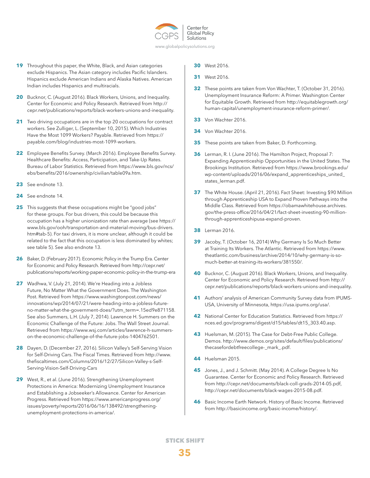

- www.globalpolicysolutions.org
- **19** Throughout this paper, the White, Black, and Asian categories exclude Hispanics. The Asian category includes Pacific Islanders. Hispanics exclude American Indians and Alaska Natives. American Indian includes Hispanics and multiracials.
- **20** Bucknor, C. (August 2016). Black Workers, Unions, and Inequality. Center for Economic and Policy Research. Retrieved from http:// cepr.net/publications/reports/black-workers-unions-and-inequality.
- **21** Two driving occupations are in the top 20 occupations for contract workers. See Zulliger, L. (September 10, 2015). Which Industries Have the Most 1099 Workers? Payable. Retrieved from https:// payable.com/blog/industries-most-1099-workers.
- **22** Employee Benefits Survey. (March 2016). Employee Benefits Survey. Healthcare Benefits: Access, Participation, and Take-Up Rates. Bureau of Labor Statistics. Retrieved from https://www.bls.gov/ncs/ ebs/benefits/2016/ownership/civilian/table09a.htm.
- **23** See endnote 13.
- **24** See endnote 14.
- **25** This suggests that these occupations might be "good jobs" for these groups. For bus drivers, this could be because this occupation has a higher unionization rate than average (see https:// www.bls.gov/ooh/transportation-and-material-moving/bus-drivers. htm#tab-5). For taxi drivers, it is more unclear, although it could be related to the fact that this occupation is less dominated by whites; see table 5). See also endnote 13.
- 26 Baker, D. (February 2017). Economic Policy in the Trump Era. Center for Economic and Policy Research. Retrieved from http://cepr.net/ publications/reports/working-paper-economic-policy-in-the-trump-era
- **27** Wadhwa, V. (July 21, 2014). We're Heading into a Jobless Future, No Matter What the Government Does. The Washington Post. Retrieved from https://www.washingtonpost.com/news/ innovations/wp/2014/07/21/were-heading-into-a-jobless-futureno-matter-what-the-government-does/?utm\_term=.15ed9e871158. See also Summers, L.H. (July 7, 2014). Lawrence H. Summers on the Economic Challenge of the Future: Jobs. The Wall Street Journal. Retrieved from https://www.wsj.com/articles/lawrence-h-summerson-the-economic-challenge-of-the-future-jobs-1404762501.
- 28 Dayen, D. (December 27, 2016). Silicon Valley's Self-Serving Vision for Self-Driving Cars. The Fiscal Times. Retrieved from http://www. thefiscaltimes.com/Columns/2016/12/27/Silicon-Valley-s-Self-Serving-Vision-Self-Driving-Cars
- **29** West, R., et al. (June 2016). Strengthening Unemployment Protections in America: Modernizing Unemployment Insurance and Establishing a Jobseeker's Allowance. Center for American Progress. Retrieved from https://www.americanprogress.org/ issues/poverty/reports/2016/06/16/138492/strengtheningunemployment-protections-in-america/.
- **30** West 2016.
- **31** West 2016.
- **32** These points are taken from Von Wachter, T. (October 31, 2016). Unemployment Insurance Reform: A Primer. Washington Center for Equitable Growth. Retrieved from http://equitablegrowth.org/ human-capital/unemployment-insurance-reform-primer/.
- **33** Von Wachter 2016.
- **34** Von Wachter 2016.
- **35** These points are taken from Baker, D. Forthcoming.
- **36** Lerman, R. I. (June 2016). The Hamilton Project, Proposal 7: Expanding Apprenticeship Opportunities in the United States. The Brookings Institution. Retrieved from https://www.brookings.edu/ wp-content/uploads/2016/06/expand\_apprenticeships\_united\_ states\_lerman.pdf.
- **37** The White House. (April 21, 2016). Fact Sheet: Investing \$90 Million through Apprenticeship USA to Expand Proven Pathways into the Middle Class. Retrieved from https://obamawhitehouse.archives. gov/the-press-office/2016/04/21/fact-sheet-investing-90-millionthrough-apprenticeshipusa-expand-proven.
- **38** Lerman 2016.
- **39** Jacoby, T. (October 16, 2014) Why Germany Is So Much Better at Training Its Workers. The Atlantic. Retrieved from https://www. theatlantic.com/business/archive/2014/10/why-germany-is-somuch-better-at-training-its-workers/381550/.
- **40** Bucknor, C. (August 2016). Black Workers, Unions, and Inequality. Center for Economic and Policy Research. Retrieved from http:// cepr.net/publications/reports/black-workers-unions-and-inequality.
- **41** Authors' analysis of American Community Survey data from IPUMS-USA, University of Minnesota, https://usa.ipums.org/usa/.
- **42** National Center for Education Statistics. Retrieved from https:// nces.ed.gov/programs/digest/d15/tables/dt15\_303.40.asp.
- **43** Huelsman, M. (2015). The Case for Debt-Free Public College. Demos. http://www.demos.org/sites/default/files/publications/ thecasefordebtfreecollege-\_mark\_.pdf.
- **44** Huelsman 2015.
- **45** Jones, J., and J. Schmitt. (May 2014). A College Degree Is No Guarantee. Center for Economic and Policy Research. Retrieved from http://cepr.net/documents/black-coll-grads-2014-05.pdf, http://cepr.net/documents/black-wages-2015-08.pdf.
- **46** Basic Income Earth Network. History of Basic Income. Retrieved from http://basicincome.org/basic-income/history/.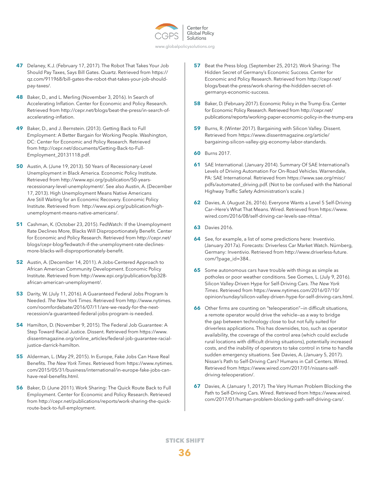

- www.globalpolicysolutions.org
- **47** Delaney, K.J. (February 17, 2017). The Robot That Takes Your Job Should Pay Taxes, Says Bill Gates. Quartz. Retrieved from https:// qz.com/911968/bill-gates-the-robot-that-takes-your-job-shouldpay-taxes/.
- **48** Baker, D., and L. Merling (November 3, 2016). In Search of Accelerating Inflation. Center for Economic and Policy Research. Retrieved from http://cepr.net/blogs/beat-the-press/in-search-ofaccelerating-inflation.
- **49** Baker, D., and J. Bernstein. (2013). Getting Back to Full Employment: A Better Bargain for Working People. Washington, DC: Center for Economic and Policy Research. Retrieved from http://cepr.net/documents/Getting-Back-to-Full-Employment\_20131118.pdf.
- **50** Austin, A. (June 19, 2013). 50 Years of Recessionary-Level Unemployment in Black America. Economic Policy Institute. Retrieved from http://www.epi.org/publication/50-yearsrecessionary-level-unemployment/. See also Austin, A. (December 17, 2013). High Unemployment Means Native Americans Are Still Waiting for an Economic Recovery. Economic Policy Institute. Retrieved from http://www.epi.org/publication/highunemployment-means-native-americans/.
- **51** Cashman, K. (October 23, 2015). FedWatch: If the Unemployment Rate Declines More, Blacks Will Disproportionately Benefit. Center for Economic and Policy Research. Retrieved from http://cepr.net/ blogs/cepr-blog/fedwatch-if-the-unemployment-rate-declinesmore-blacks-will-disproportionately-benefit.
- **52** Austin, A. (December 14, 2011). A Jobs-Centered Approach to African American Community Development. Economic Policy Institute. Retrieved from http://www.epi.org/publication/bp328 african-american-unemployment/.
- **53** Darity, W. (July 11, 2016). A Guaranteed Federal Jobs Program Is Needed. *The New York Times*. Retrieved from http://www.nytimes. com/roomfordebate/2016/07/11/are-we-ready-for-the-nextrecession/a-guaranteed-federal-jobs-program-is-needed.
- **54** Hamilton, D. (November 9, 2015). The Federal Job Guarantee: A Step Toward Racial Justice. Dissent. Retrieved from https://www. dissentmagazine.org/online\_articles/federal-job-guarantee-racialjustice-darrick-hamilton.
- **55** Alderman, L. (May 29, 2015). In Europe, Fake Jobs Can Have Real Benefits. *The New York Times*. Retrieved from https://www.nytimes. com/2015/05/31/business/international/in-europe-fake-jobs-canhave-real-benefits.html.
- **56** Baker, D. (June 2011). Work Sharing: The Quick Route Back to Full Employment. Center for Economic and Policy Research. Retrieved from http://cepr.net/publications/reports/work-sharing-the-quickroute-back-to-full-employment.
- **57** Beat the Press blog. (September 25, 2012). Work Sharing: The Hidden Secret of Germany's Economic Success. Center for Economic and Policy Research. Retrieved from http://cepr.net/ blogs/beat-the-press/work-sharing-the-hiddden-secret-ofgermanys-economic-success.
- **58** Baker, D. (February 2017). Economic Policy in the Trump Era. Center for Economic Policy Research. Retrieved from http://cepr.net/ publications/reports/working-paper-economic-policy-in-the-trump-era
- **59** Burns, R. (Winter 2017). Bargaining with Silicon Valley. Dissent. Retrieved from https://www.dissentmagazine.org/article/ bargaining-silicon-valley-gig-economy-labor-standards.
- **60** Burns 2017.
- **61** SAE International. (January 2014). Summary Of SAE International's Levels of Driving Automation For On-Road Vehicles. Warrendale, PA: SAE International. Retrieved from https://www.sae.org/misc/ pdfs/automated\_driving.pdf. (Not to be confused with the National Highway Traffic Safety Administration's scale.)
- **62** Davies, A. (August 26, 2016). Everyone Wants a Level 5 Self-Driving Car—Here's What That Means. Wired. Retrieved from https://www. wired.com/2016/08/self-driving-car-levels-sae-nhtsa/.
- **63** Davies 2016.
- **64** See, for example, a list of some predictions here: Inventivio. (January 2017a). Forecasts: Driverless Car Market Watch. Nürnberg, Germany: Inventivio. Retrieved from http://www.driverless-future. com/?page\_id=384..
- **65** Some autonomous cars have trouble with things as simple as potholes or poor weather conditions. See Gomes, L. (July 9, 2016). Silicon Valley-Driven Hype for Self-Driving Cars. *The New York Times*. Retrieved from https://www.nytimes.com/2016/07/10/ opinion/sunday/silicon-valley-driven-hype-for-self-driving-cars.html.
- **66** Other firms are counting on "teleoperation"-in difficult situations, a remote operator would drive the vehicle—as a way to bridge the gap between technology close to but not fully suited for driverless applications. This has downsides, too, such as operator availability, the coverage of the control area (which could exclude rural locations with difficult driving situations), potentially increased costs, and the inability of operators to take control in time to handle sudden emergency situations. See Davies, A. (January 5, 2017). Nissan's Path to Self-Driving Cars? Humans in Call Centers. Wired. Retrieved from https://www.wired.com/2017/01/nissans-selfdriving-teleoperation/.
- **67** Davies, A. (January 1, 2017). The Very Human Problem Blocking the Path to Self-Driving Cars. Wired. Retrieved from https://www.wired. com/2017/01/human-problem-blocking-path-self-driving-cars/.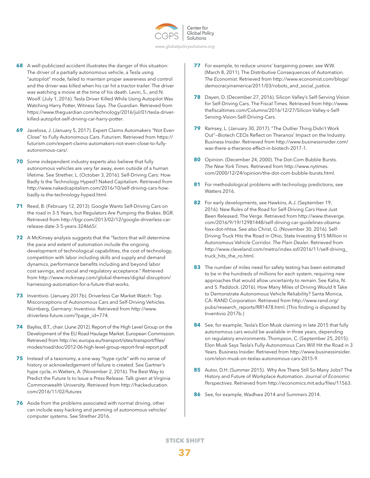

www.globalpolicysolutions.org

- **68** A well-publicized accident illustrates the danger of this situation: The driver of a partially autonomous vehicle, a Tesla using "autopilot" mode, failed to maintain proper awareness and control and the driver was killed when his car hit a tractor-trailer. The driver was watching a movie at the time of his death. Levin, S., and N. Woolf. (July 1, 2016). Tesla Driver Killed While Using Autopilot Was Watching Harry Potter, Witness Says. *The Guardian*. Retrieved from https://www.theguardian.com/technology/2016/jul/01/tesla-driverkilled-autopilot-self-driving-car-harry-potter.
- **69** Javelosa, J. (January 5, 2017). Expert Claims Automakers "Not Even Close" to Fully Autonomous Cars. Futurism. Retrieved from https:// futurism.com/expert-claims-automakers-not-even-close-to-fullyautonomous-cars/.
- **70** Some independent industry experts also believe that fully autonomous vehicles are very far away, even outside of a human lifetime. See Strether, L. (October 3, 2016). Self-Driving Cars: How Badly Is the Technology Hyped? Naked Capitalism. Retrieved from http://www.nakedcapitalism.com/2016/10/self-driving-cars-howbadly-is-the-technology-hyped.html.
- **71** Reed, B. (February 12, 2013). Google Wants Self-Driving Cars on the road in 3-5 Years, but Regulators Are Pumping the Brakes. BGR. Retrieved from http://bgr.com/2013/02/12/google-driverless-carrelease-date-3-5-years-324665/.
- **72** A McKinsey analysis suggests that the "factors that will determine the pace and extent of automation include the ongoing development of technological capabilities, the cost of technology, competition with labor including skills and supply and demand dynamics, performance benefits including and beyond labor cost savings, and social and regulatory acceptance." Retrieved from http://www.mckinsey.com/global-themes/digital-disruption/ harnessing-automation-for-a-future-that-works.
- **73** Inventivio. (January 2017b). Driverless Car Market Watch: Top Misconceptions of Autonomous Cars and Self-Driving Vehicles. Nürnberg, Germany: Inventivio. Retrieved from http://www. driverless-future.com/?page\_id=774.
- **74** Bayliss, B.T., chair. (June 2012). Report of the High Level Group on the Development of the EU Road Haulage Market. European Commission. Retrieved from http://ec.europa.eu/transport/sites/transport/files/ modes/road/doc/2012-06-high-level-group-report-final-report.pdf.
- **75** Instead of a taxonomy, a one-way "hype cycle" with no sense of history or acknowledgement of failure is created. See Gartner's hype cycle, in Watters, A. (November 2, 2016). The Best Way to Predict the Future Is to Issue a Press Release. Talk given at Virginia Commonwealth University. Retrieved from http://hackeducation. com/2016/11/02/futures
- **76** Aside from the problems associated with normal driving, other can include easy hacking and jamming of autonomous vehicles' computer systems. See Strether 2016.
- **77** For example, to reduce unions' bargaining power, see W.W. (March 8, 2011). The Distributive Consequences of Automation. *The Economist*. Retrieved from http://www.economist.com/blogs/ democracyinamerica/2011/03/robots\_and\_social\_justice.
- **78** Dayen, D. (December 27, 2016). Silicon Valley's Self-Serving Vision for Self-Driving Cars. The Fiscal Times. Retrieved from http://www. thefiscaltimes.com/Columns/2016/12/27/Silicon-Valley-s-Self-Serving-Vision-Self-Driving-Cars.
- **79** Ramsey, L. (January 30, 2017). "The Outlier Thing Didn't Work Out"—Biotech CEOs Reflect on Theranos' Impact on the Industry. Business Insider. Retrieved from http://www.businessinsider.com/ was-there-a-theranos-effect-in-biotech-2017-1.
- **80** Opinion. (December 24, 2000). The Dot-Com Bubble Bursts. *The New York Times*. Retrieved from http://www.nytimes. com/2000/12/24/opinion/the-dot-com-bubble-bursts.html.
- **81** For methodological problems with technology predictions, see Watters 2016.
- **82** For early developments, see Hawkins, A.J. (September 19, 2016). New Rules of the Road for Self-Driving Cars Have Just Been Released. The Verge. Retrieved from http://www.theverge. com/2016/9/19/12981448/self-driving-car-guidelines-obamafoxx-dot-nhtsa. See also Christ, G. (November 30, 2016). Self-Driving Truck Hits the Road in Ohio, State Investing \$15 Million in Autonomous Vehicle Corridor. *The Plain Dealer*. Retrieved from http://www.cleveland.com/metro/index.ssf/2016/11/self-driving\_ truck\_hits\_the\_ro.html.
- **83** The number of miles need for safety testing has been estimated to be in the hundreds of millions for each system, requiring new approaches that would allow uncertainty to remain. See Kalra, N. and S. Paddock. (2016). How Many Miles of Driving Would It Take to Demonstrate Autonomous Vehicle Reliability? Santa Monica, CA: RAND Corporation. Retrieved from http://www.rand.org/ pubs/research\_reports/RR1478.html. (This finding is disputed by Inventivio 2017b.)
- **84** See, for example, Tesla's Elon Musk claiming in late 2015 that fully autonomous cars would be available in three years, depending on regulatory environments. Thompson, C. (September 25, 2015). Elon Musk Says Tesla's Fully Autonomous Cars Will Hit the Road in 3 Years. Business Insider. Retrieved from http://www.businessinsider. com/elon-musk-on-teslas-autonomous-cars-2015-9.
- **85** Autor, D.H. (Summer 2015). Why Are There Still So Many Jobs? The History and Future of Workplace Automation. *Journal of Economic Perspectives.* Retrieved from http://economics.mit.edu/files/11563.
- **86** See, for example, Wadhwa 2014 and Summers 2014.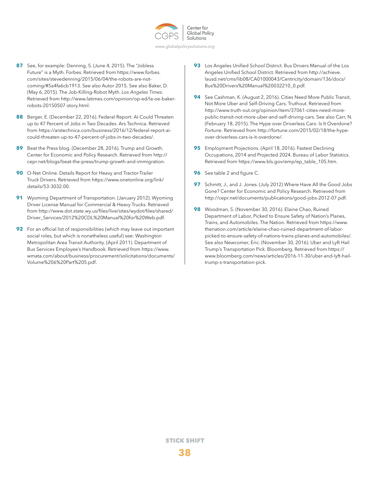

- www.globalpolicysolutions.org
- **87** See, for example: Denning, S. (June 4, 2015). The "Jobless Future" is a Myth. Forbes. Retrieved from https://www.forbes. com/sites/stevedenning/2015/06/04/the-robots-are-notcoming/#5a4fa6cb1913. See also Autor 2015. See also Baker, D. (May 6, 2015). The Job-Killing-Robot Myth. *Los Angeles Times*. Retrieved from http://www.latimes.com/opinion/op-ed/la-oe-bakerrobots-20150507-story.html.
- **88** Berger, E. (December 22, 2016). Federal Report: AI Could Threaten up to 47 Percent of Jobs in Two Decades. Ars Technica. Retrieved from https://arstechnica.com/business/2016/12/federal-report-aicould-threaten-up-to-47-percent-of-jobs-in-two-decades/.
- **89** Beat the Press blog. (December 28, 2016). Trump and Growth. Center for Economic and Policy Research. Retrieved from http:// cepr.net/blogs/beat-the-press/trump-growth-and-immigration.
- **90** O-Net Online. Details Report for Heavy and Tractor-Trailer Truck Drivers. Retrieved from https://www.onetonline.org/link/ details/53-3032.00.
- **91** Wyoming Department of Transportation. (January 2012). Wyoming Driver License Manual for Commercial & Heavy Trucks. Retrieved from http://www.dot.state.wy.us/files/live/sites/wydot/files/shared/ Driver\_Services/2012%20CDL%20Manual%20for%20Web.pdf.
- **92** For an official list of responsibilities (which may leave out important social roles, but which is nonetheless useful) see: Washington Metropolitan Area Transit Authority. (April 2011). Department of Bus Services Employee's Handbook. Retrieved from https://www. wmata.com/about/business/procurement/solicitations/documents/ Volume%206%20Part%205.pdf.
- **93** Los Angeles Unified School District. Bus Drivers Manual of the Los Angeles Unified School District. Retrieved from http://achieve. lausd.net/cms/lib08/CA01000043/Centricity/domain/136/docs/ Bus%20Drivers%20Manual%20032210\_0.pdf.
- **94** See Cashman, K. (August 2, 2016). Cities Need More Public Transit, Not More Uber and Self-Driving Cars. Truthout. Retrieved from http://www.truth-out.org/opinion/item/37061-cities-need-morepublic-transit-not-more-uber-and-self-driving-cars. See also Carr, N. (February 18, 2015). The Hype over Driverless Cars: Is It Overdone? *Fortune*. Retrieved from http://fortune.com/2015/02/18/the-hypeover-driverless-cars-is-it-overdone/.
- **95** Employment Projections. (April 18, 2016). Fastest Declining Occupations, 2014 and Projected 2024. Bureau of Labor Statistics. Retrieved from https://www.bls.gov/emp/ep\_table\_105.htm.
- **96** See table 2 and figure C.
- **97** Schmitt, J., and J. Jones. (July 2012) Where Have All the Good Jobs Gone? Center for Economic and Policy Research. Retrieved from http://cepr.net/documents/publications/good-jobs-2012-07.pdf.
- **98** Woodman, S. (November 30, 2016). Elaine Chao, Ruined Department of Labor, Picked to Ensure Safety of Nation's Planes, Trains, and Automobiles. The Nation. Retrieved from https://www. thenation.com/article/elaine-chao-ruined-department-of-laborpicked-to-ensure-safety-of-nations-trains-planes-and-automobiles/. See also Newcomer, Eric. (November 30, 2016). Uber and Lyft Hail Trump's Transportation Pick. Bloomberg. Retrieved from https:// www.bloomberg.com/news/articles/2016-11-30/uber-and-lyft-hailtrump-s-transportation-pick.

**38** STICK SHIFT